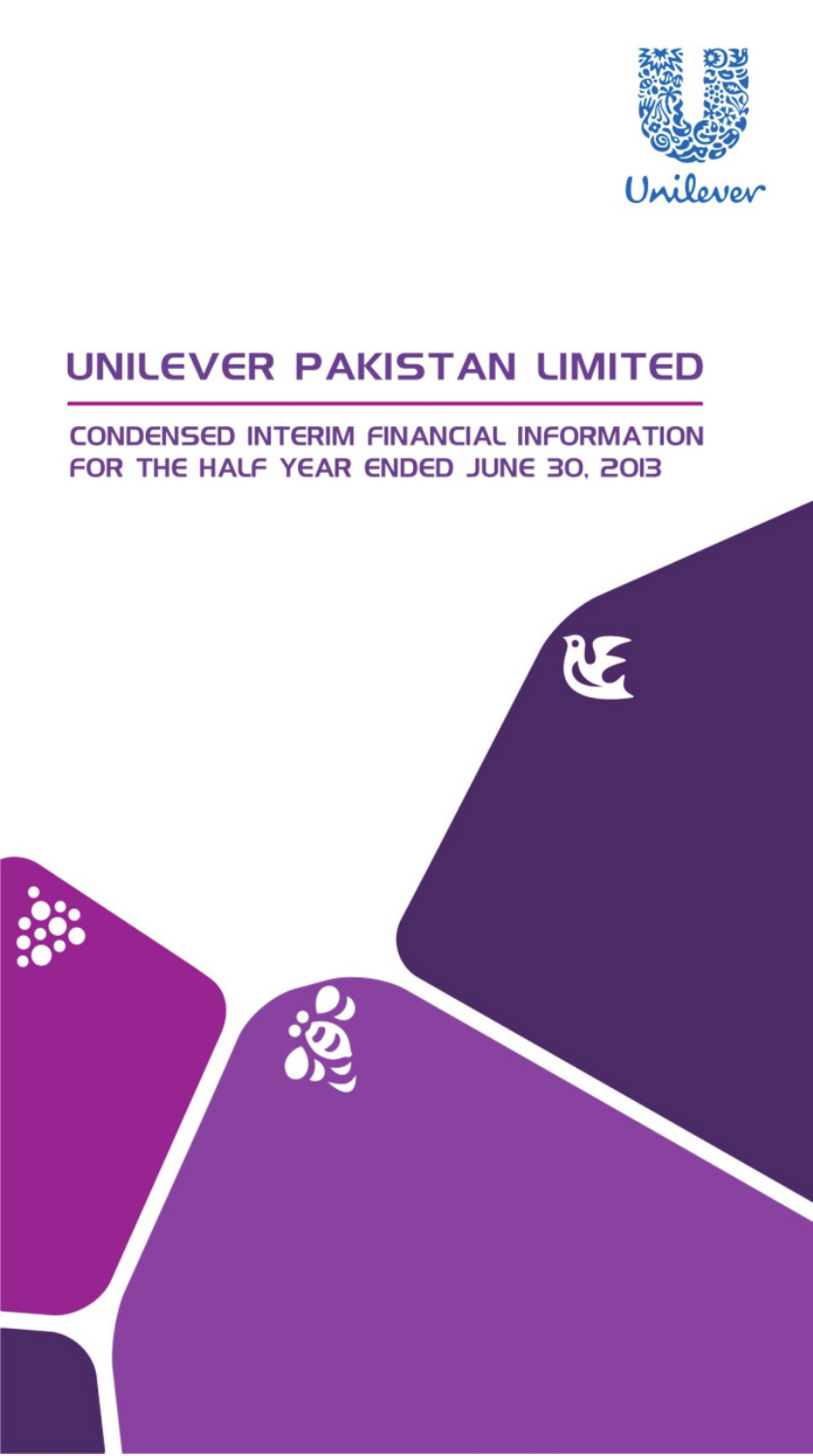

RE

# **UNILEVER PAKISTAN LIMITED**

## **CONDENSED INTERIM FINANCIAL INFORMATION** FOR THE HALF YEAR ENDED JUNE 30, 2013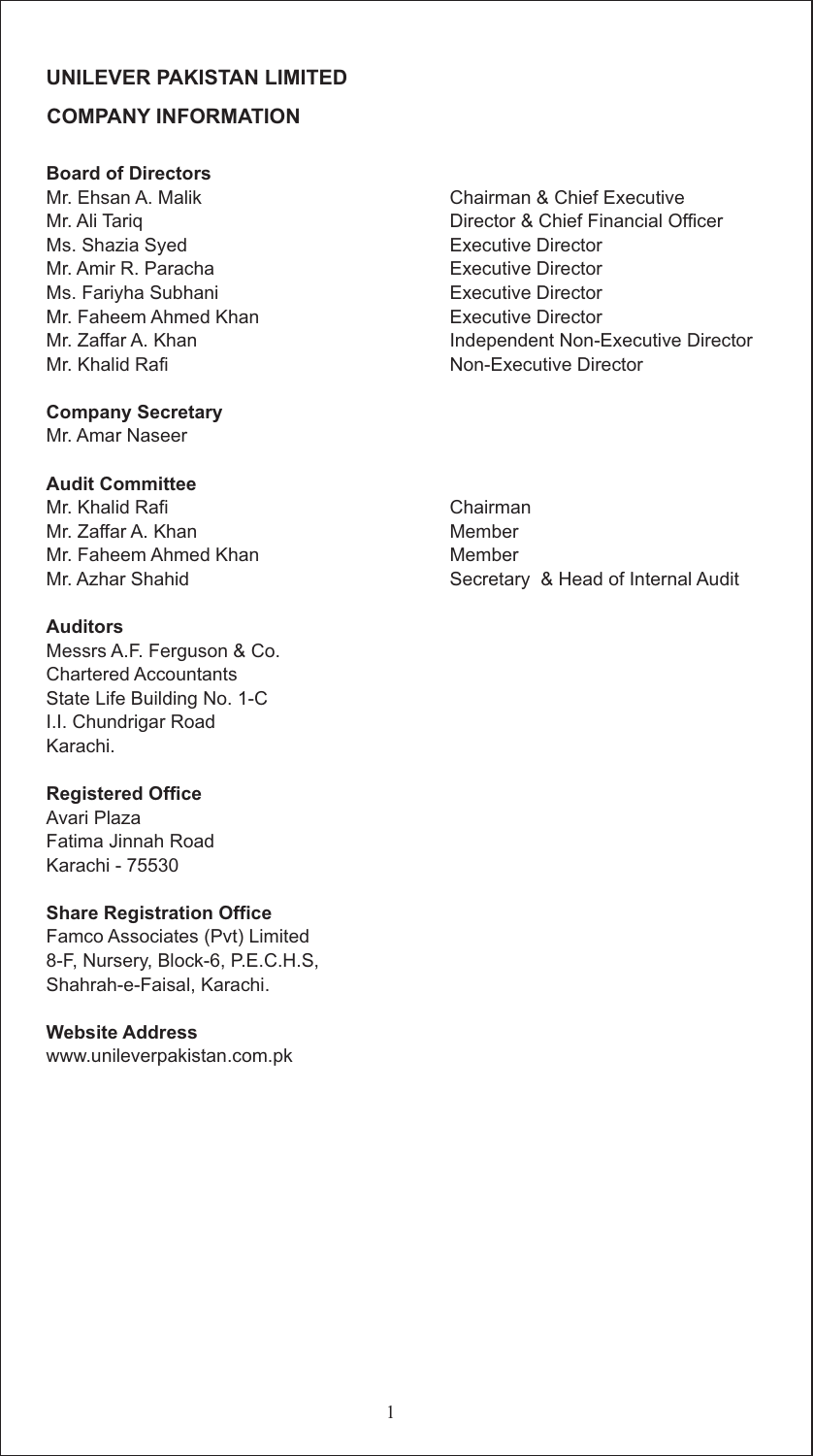## **COMPANY INFORMATION**

## **Board of Directors**

Ms. Shazia Syed **Executive Director** Mr. Amir R. Paracha **Executive Director** Ms. Fariyha Subhani **Executive Director** Mr. Faheem Ahmed Khan<br>Mr. Zaffar A. Khan **Executive Director**<br>Independent Non-F Mr. Khalid Rafi Non-Executive Director

## **Company Secretary**

Mr. Amar Naseer

## **Audit Committee**

Mr. Khalid Rafi Chairman Mr. Zaffar A. Khan Member Mr. Faheem Ahmed Khan Member

## **Auditors**

Messrs A.F. Ferguson & Co. Chartered Accountants State Life Building No. 1-C I.I. Chundrigar Road Karachi.

## **Registered Office**

Avari Plaza Fatima Jinnah Road Karachi - 75530

## **Share Registration Office**

Famco Associates (Pvt) Limited 8-F, Nursery, Block-6, P.E.C.H.S, Shahrah-e-Faisal, Karachi.

## **Website Address**

www.unileverpakistan.com.pk

Mr. Ehsan A. Malik Chairman & Chief Executive Mr. Ali Tariq **Director & Chief Financial Officer** Independent Non-Executive Director

Mr. Azhar Shahid Secretary & Head of Internal Audit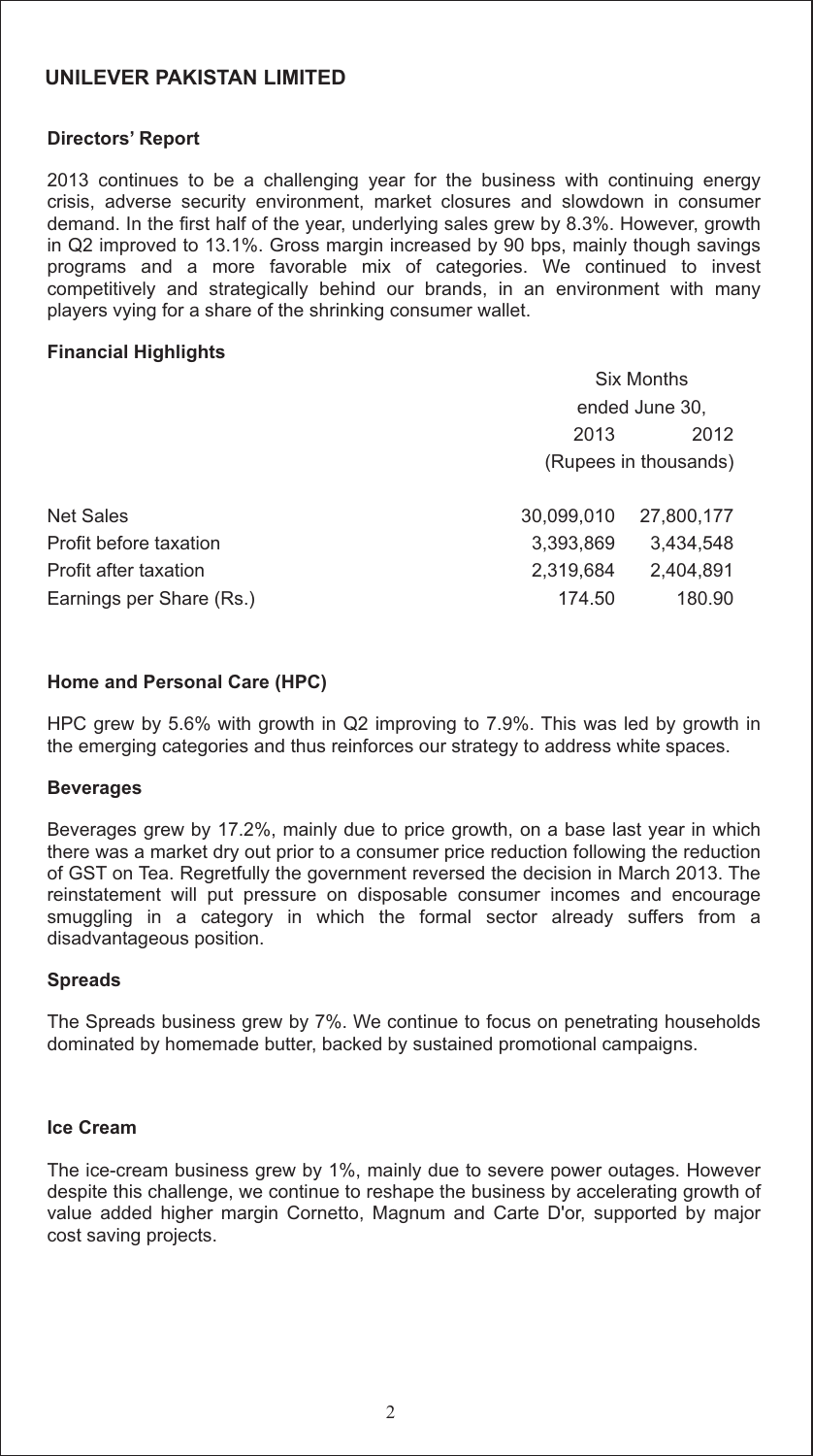#### **Directors' Report**

2013 continues to be a challenging year for the business with continuing energy crisis, adverse security environment, market closures and slowdown in consumer demand. In the first half of the year, underlying sales grew by 8.3%. However, growth in Q2 improved to 13.1%. Gross margin increased by 90 bps, mainly though savings programs and a more favorable mix of categories. We continued to invest competitively and strategically behind our brands, in an environment with many players vying for a share of the shrinking consumer wallet.

#### **Financial Highlights**

|                          | <b>Six Months</b>     |                |  |
|--------------------------|-----------------------|----------------|--|
|                          |                       | ended June 30, |  |
|                          | 2013                  | 2012           |  |
|                          | (Rupees in thousands) |                |  |
|                          |                       |                |  |
| Net Sales                | 30.099.010            | 27,800,177     |  |
| Profit before taxation   | 3,393,869             | 3,434,548      |  |
| Profit after taxation    | 2,319,684             | 2.404.891      |  |
| Earnings per Share (Rs.) | 174.50                | 180.90         |  |
|                          |                       |                |  |

#### **Home and Personal Care (HPC)**

HPC grew by 5.6% with growth in Q2 improving to 7.9%. This was led by growth in the emerging categories and thus reinforces our strategy to address white spaces.

#### **Beverages**

Beverages grew by 17.2%, mainly due to price growth, on a base last year in which there was a market dry out prior to a consumer price reduction following the reduction of GST on Tea. Regretfully the government reversed the decision in March 2013. The reinstatement will put pressure on disposable consumer incomes and encourage smuggling in a category in which the formal sector already suffers from a disadvantageous position.

#### **Spreads**

The Spreads business grew by 7%. We continue to focus on penetrating households dominated by homemade butter, backed by sustained promotional campaigns.

#### **Ice Cream**

The ice-cream business grew by 1%, mainly due to severe power outages. However despite this challenge, we continue to reshape the business by accelerating growth of value added higher margin Cornetto, Magnum and Carte D'or, supported by major cost saving projects.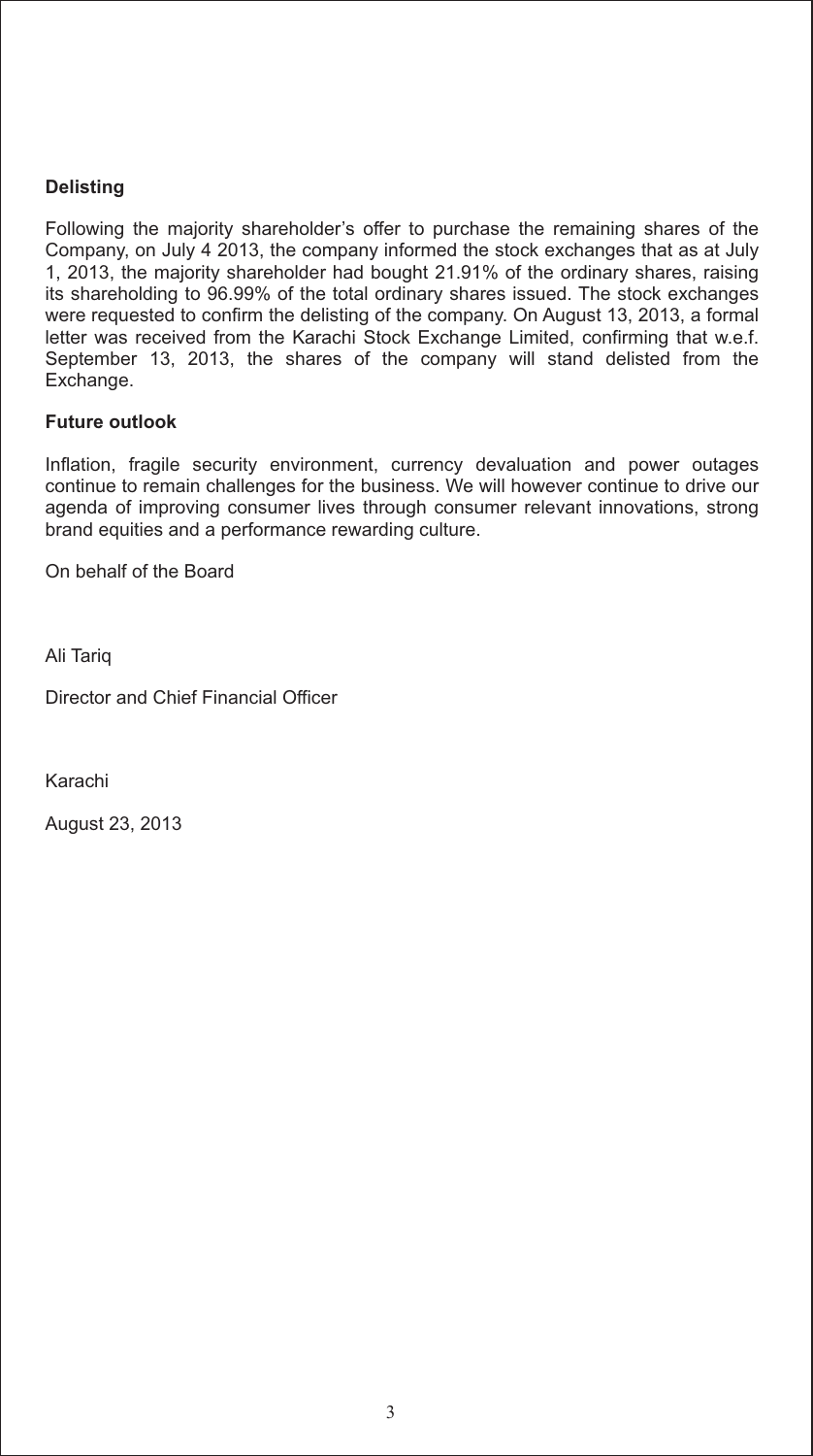## **Delisting**

Following the majority shareholder's offer to purchase the remaining shares of the Company, on July 4 2013, the company informed the stock exchanges that as at July 1, 2013, the majority shareholder had bought 21.91% of the ordinary shares, raising its shareholding to 96.99% of the total ordinary shares issued. The stock exchanges were requested to confirm the delisting of the company. On August 13, 2013, a formal letter was received from the Karachi Stock Exchange Limited, confirming that w.e.f. September 13, 2013, the shares of the company will stand delisted from the Exchange.

### **Future outlook**

Inflation, fragile security environment, currency devaluation and power outages continue to remain challenges for the business. We will however continue to drive our agenda of improving consumer lives through consumer relevant innovations, strong brand equities and a performance rewarding culture.

On behalf of the Board

Ali Tariq

Director and Chief Financial Officer

Karachi

August 23, 2013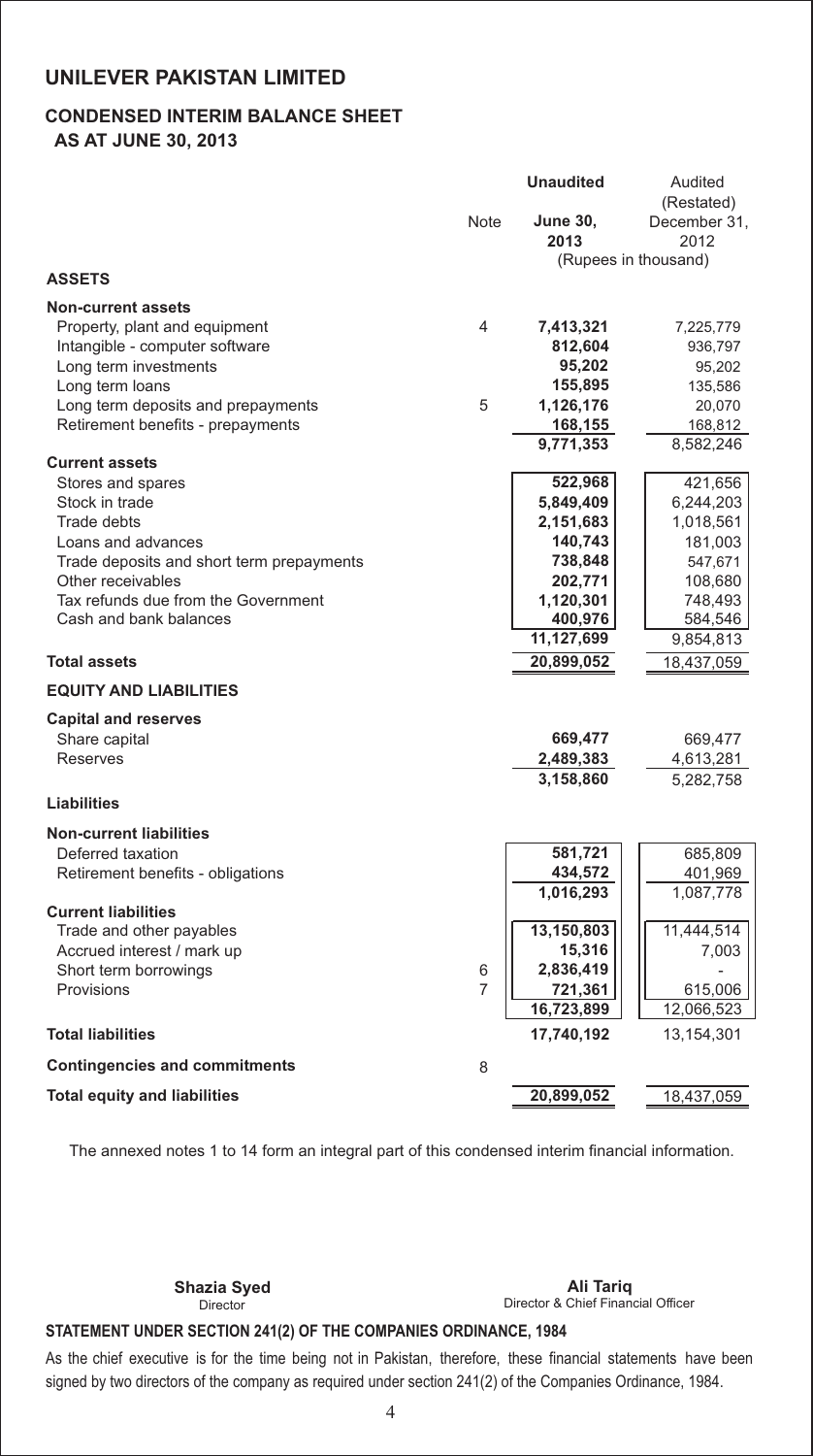## **CONDENSED INTERIM BALANCE SHEET**

 **AS AT JUNE 30, 2013**

|                                           |      | <b>Unaudited</b>     | Audited              |
|-------------------------------------------|------|----------------------|----------------------|
|                                           |      |                      | (Restated)           |
|                                           | Note | <b>June 30,</b>      | December 31,         |
|                                           |      | 2013                 | 2012                 |
|                                           |      |                      | (Rupees in thousand) |
| <b>ASSETS</b>                             |      |                      |                      |
| <b>Non-current assets</b>                 |      |                      |                      |
| Property, plant and equipment             | 4    | 7,413,321            | 7,225,779            |
| Intangible - computer software            |      | 812,604              | 936,797              |
| Long term investments                     |      | 95,202               | 95,202               |
| Long term loans                           |      | 155,895              | 135,586              |
|                                           | 5    |                      |                      |
| Long term deposits and prepayments        |      | 1,126,176            | 20,070               |
| Retirement benefits - prepayments         |      | 168,155<br>9,771,353 | 168,812<br>8,582,246 |
| <b>Current assets</b>                     |      |                      |                      |
| Stores and spares                         |      | 522,968              | 421,656              |
| Stock in trade                            |      | 5,849,409            | 6,244,203            |
| <b>Trade debts</b>                        |      | 2,151,683            | 1,018,561            |
| Loans and advances                        |      | 140,743              | 181,003              |
| Trade deposits and short term prepayments |      | 738,848              | 547,671              |
| Other receivables                         |      | 202,771              | 108,680              |
| Tax refunds due from the Government       |      | 1,120,301            | 748,493              |
| Cash and bank balances                    |      | 400,976              | 584,546              |
|                                           |      | 11,127,699           | 9,854,813            |
| <b>Total assets</b>                       |      | 20,899,052           | 18,437,059           |
| <b>EQUITY AND LIABILITIES</b>             |      |                      |                      |
|                                           |      |                      |                      |
| <b>Capital and reserves</b>               |      |                      |                      |
| Share capital                             |      | 669,477              | 669,477              |
| <b>Reserves</b>                           |      | 2,489,383            | 4,613,281            |
|                                           |      | 3,158,860            | 5,282,758            |
| <b>Liabilities</b>                        |      |                      |                      |
| <b>Non-current liabilities</b>            |      |                      |                      |
| Deferred taxation                         |      | 581,721              | 685,809              |
| Retirement benefits - obligations         |      | 434,572              | 401,969              |
|                                           |      | 1,016,293            | 1,087,778            |
| <b>Current liabilities</b>                |      |                      |                      |
| Trade and other payables                  |      | 13,150,803           | 11,444,514           |
| Accrued interest / mark up                |      | 15,316               | 7,003                |
| Short term borrowings                     | 6    | 2,836,419            |                      |
| Provisions                                | 7    | 721,361              | 615,006              |
|                                           |      | 16,723,899           | 12,066,523           |
| <b>Total liabilities</b>                  |      | 17,740,192           | 13,154,301           |
| <b>Contingencies and commitments</b>      | 8    |                      |                      |
| <b>Total equity and liabilities</b>       |      | 20,899,052           | 18,437,059           |

The annexed notes 1 to 14 form an integral part of this condensed interim financial information.

Director

Director & Chief Financial Officer **Shazia Syed Ali Tariq**

## **STATEMENT UNDER SECTION 241(2) OF THE COMPANIES ORDINANCE, 1984**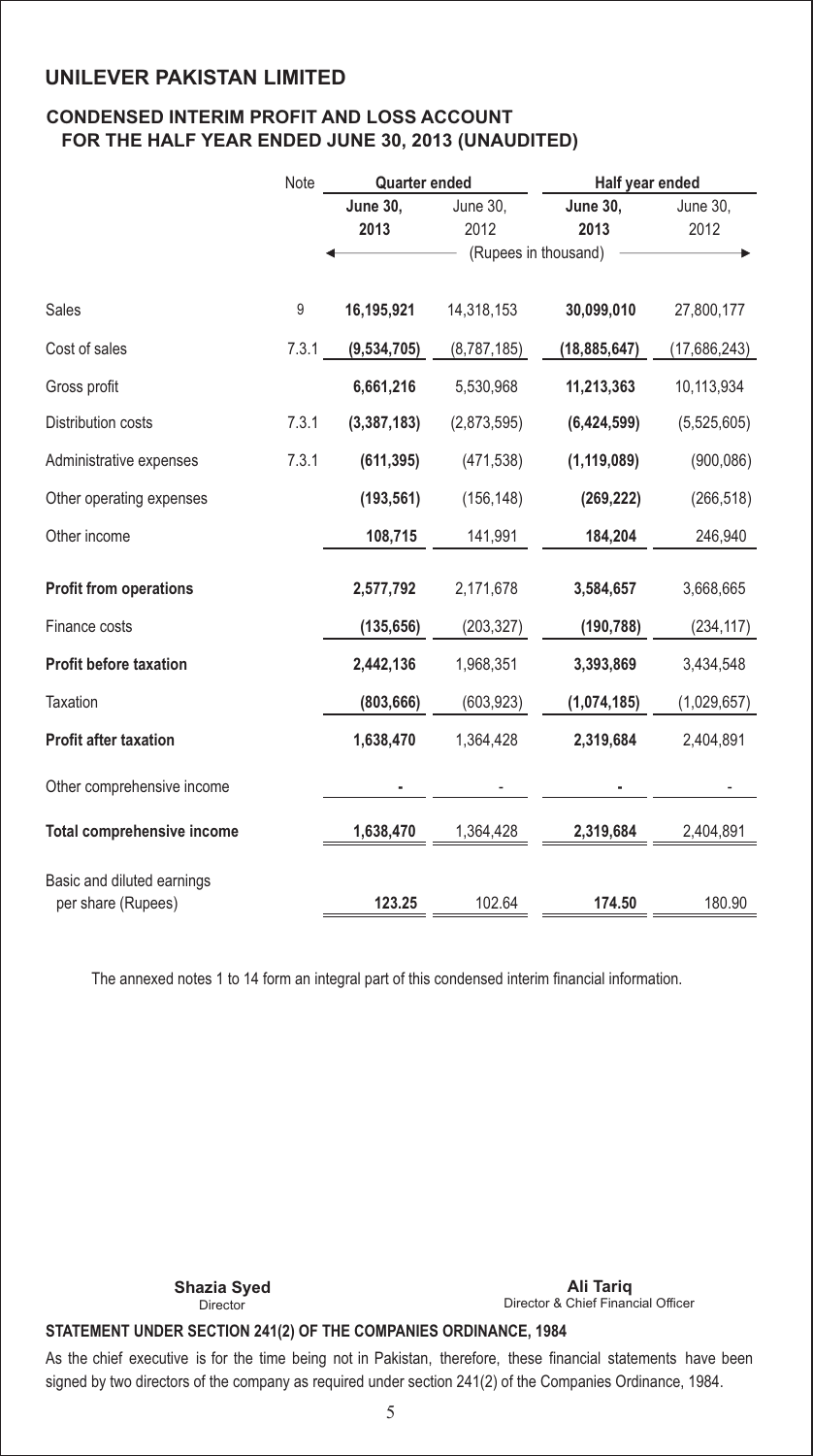## **CONDENSED INTERIM PROFIT AND LOSS ACCOUNT FOR THE HALF YEAR ENDED JUNE 30, 2013 (UNAUDITED)**

|                                   | Note  | <b>Quarter ended</b> |                      | Half year ended |              |
|-----------------------------------|-------|----------------------|----------------------|-----------------|--------------|
|                                   |       | <b>June 30,</b>      | June 30,             | <b>June 30,</b> | June 30,     |
|                                   |       | 2013                 | 2012                 | 2013            | 2012         |
|                                   |       |                      | (Rupees in thousand) |                 |              |
| <b>Sales</b>                      | 9     | 16,195,921           | 14,318,153           | 30,099,010      | 27,800,177   |
| Cost of sales                     | 7.3.1 | (9,534,705)          | (8,787,185)          | (18, 885, 647)  | (17,686,243) |
| Gross profit                      |       | 6,661,216            | 5,530,968            | 11,213,363      | 10,113,934   |
| Distribution costs                | 7.3.1 | (3,387,183)          | (2,873,595)          | (6,424,599)     | (5,525,605)  |
| Administrative expenses           | 7.3.1 | (611, 395)           | (471, 538)           | (1, 119, 089)   | (900, 086)   |
| Other operating expenses          |       | (193, 561)           | (156, 148)           | (269, 222)      | (266, 518)   |
| Other income                      |       | 108,715              | 141,991              | 184,204         | 246,940      |
| <b>Profit from operations</b>     |       | 2,577,792            | 2,171,678            | 3,584,657       | 3,668,665    |
| Finance costs                     |       | (135, 656)           | (203, 327)           | (190, 788)      | (234, 117)   |
| <b>Profit before taxation</b>     |       | 2,442,136            | 1,968,351            | 3,393,869       | 3,434,548    |
| <b>Taxation</b>                   |       | (803, 666)           | (603, 923)           | (1,074,185)     | (1,029,657)  |
| <b>Profit after taxation</b>      |       | 1,638,470            | 1,364,428            | 2,319,684       | 2,404,891    |
| Other comprehensive income        |       |                      |                      |                 |              |
| <b>Total comprehensive income</b> |       | 1,638,470            | 1,364,428            | 2,319,684       | 2,404,891    |
|                                   |       |                      |                      |                 |              |
| Basic and diluted earnings        |       |                      |                      |                 |              |
| per share (Rupees)                |       | 123.25               | 102.64               | 174.50          | 180.90       |

The annexed notes 1 to 14 form an integral part of this condensed interim financial information.

Director

Director & Chief Financial Officer **Shazia Syed Ali Tariq**

#### **STATEMENT UNDER SECTION 241(2) OF THE COMPANIES ORDINANCE, 1984**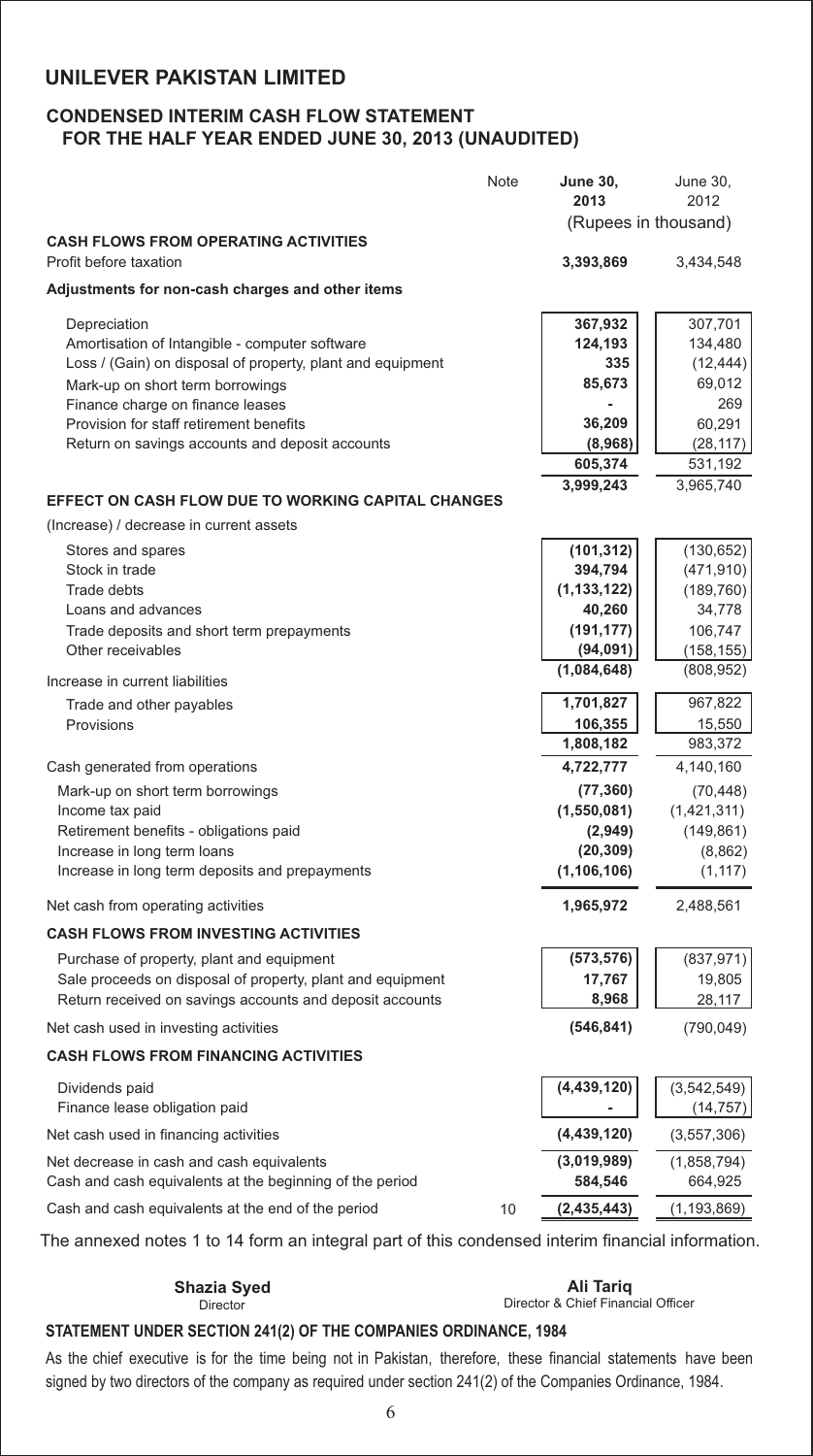### **CONDENSED INTERIM CASH FLOW STATEMENT FOR THE HALF YEAR ENDED JUNE 30, 2013 (UNAUDITED)**

|                                                            | Note | <b>June 30,</b><br>2013 | <b>June 30,</b><br>2012 |
|------------------------------------------------------------|------|-------------------------|-------------------------|
| <b>CASH FLOWS FROM OPERATING ACTIVITIES</b>                |      | (Rupees in thousand)    |                         |
| Profit before taxation                                     |      | 3,393,869               | 3,434,548               |
| Adjustments for non-cash charges and other items           |      |                         |                         |
| Depreciation                                               |      | 367,932                 | 307,701                 |
| Amortisation of Intangible - computer software             |      | 124,193                 | 134,480                 |
| Loss / (Gain) on disposal of property, plant and equipment |      | 335                     | (12, 444)               |
| Mark-up on short term borrowings                           |      | 85,673                  | 69,012                  |
| Finance charge on finance leases                           |      |                         | 269                     |
| Provision for staff retirement benefits                    |      | 36,209                  | 60,291                  |
| Return on savings accounts and deposit accounts            |      | (8,968)                 | (28,117)                |
|                                                            |      | 605,374                 | 531,192                 |
| <b>EFFECT ON CASH FLOW DUE TO WORKING CAPITAL CHANGES</b>  |      | 3,999,243               | 3,965,740               |
| (Increase) / decrease in current assets                    |      |                         |                         |
| Stores and spares                                          |      | (101, 312)              | (130, 652)              |
| Stock in trade                                             |      | 394,794                 | (471, 910)              |
| Trade debts                                                |      | (1, 133, 122)           | (189, 760)              |
| Loans and advances                                         |      | 40,260                  | 34,778                  |
| Trade deposits and short term prepayments                  |      | (191, 177)              | 106,747                 |
| Other receivables                                          |      | (94,091)                | (158, 155)              |
| Increase in current liabilities                            |      | (1,084,648)             | (808, 952)              |
| Trade and other payables                                   |      | 1,701,827               | 967,822                 |
| Provisions                                                 |      | 106,355                 | 15,550                  |
|                                                            |      | 1,808,182               | 983,372                 |
| Cash generated from operations                             |      | 4,722,777               | 4,140,160               |
| Mark-up on short term borrowings                           |      | (77, 360)               | (70, 448)               |
| Income tax paid                                            |      | (1,550,081)             | (1,421,311)             |
| Retirement benefits - obligations paid                     |      | (2,949)                 | (149, 861)              |
| Increase in long term loans                                |      | (20, 309)               | (8,862)                 |
| Increase in long term deposits and prepayments             |      | (1, 106, 106)           | (1, 117)                |
| Net cash from operating activities                         |      | 1,965,972               | 2,488,561               |
| <b>CASH FLOWS FROM INVESTING ACTIVITIES</b>                |      |                         |                         |
| Purchase of property, plant and equipment                  |      | (573, 576)              | (837, 971)              |
| Sale proceeds on disposal of property, plant and equipment |      | 17,767                  | 19,805                  |
| Return received on savings accounts and deposit accounts   |      | 8,968                   | 28,117                  |
| Net cash used in investing activities                      |      | (546, 841)              | (790, 049)              |
| <b>CASH FLOWS FROM FINANCING ACTIVITIES</b>                |      |                         |                         |
| Dividends paid                                             |      | (4, 439, 120)           | (3,542,549)             |
| Finance lease obligation paid                              |      |                         | (14, 757)               |
| Net cash used in financing activities                      |      | (4,439,120)             | (3,557,306)             |
| Net decrease in cash and cash equivalents                  |      | (3,019,989)             | (1,858,794)             |
| Cash and cash equivalents at the beginning of the period   |      | 584,546                 | 664,925                 |
| Cash and cash equivalents at the end of the period         | 10   | (2,435,443)             | (1, 193, 869)           |

The annexed notes 1 to 14 form an integral part of this condensed interim financial information.

**Shazia Syed Ali Tariq**

Director & Chief Financial Officer

## **STATEMENT UNDER SECTION 241(2) OF THE COMPANIES ORDINANCE, 1984**

Director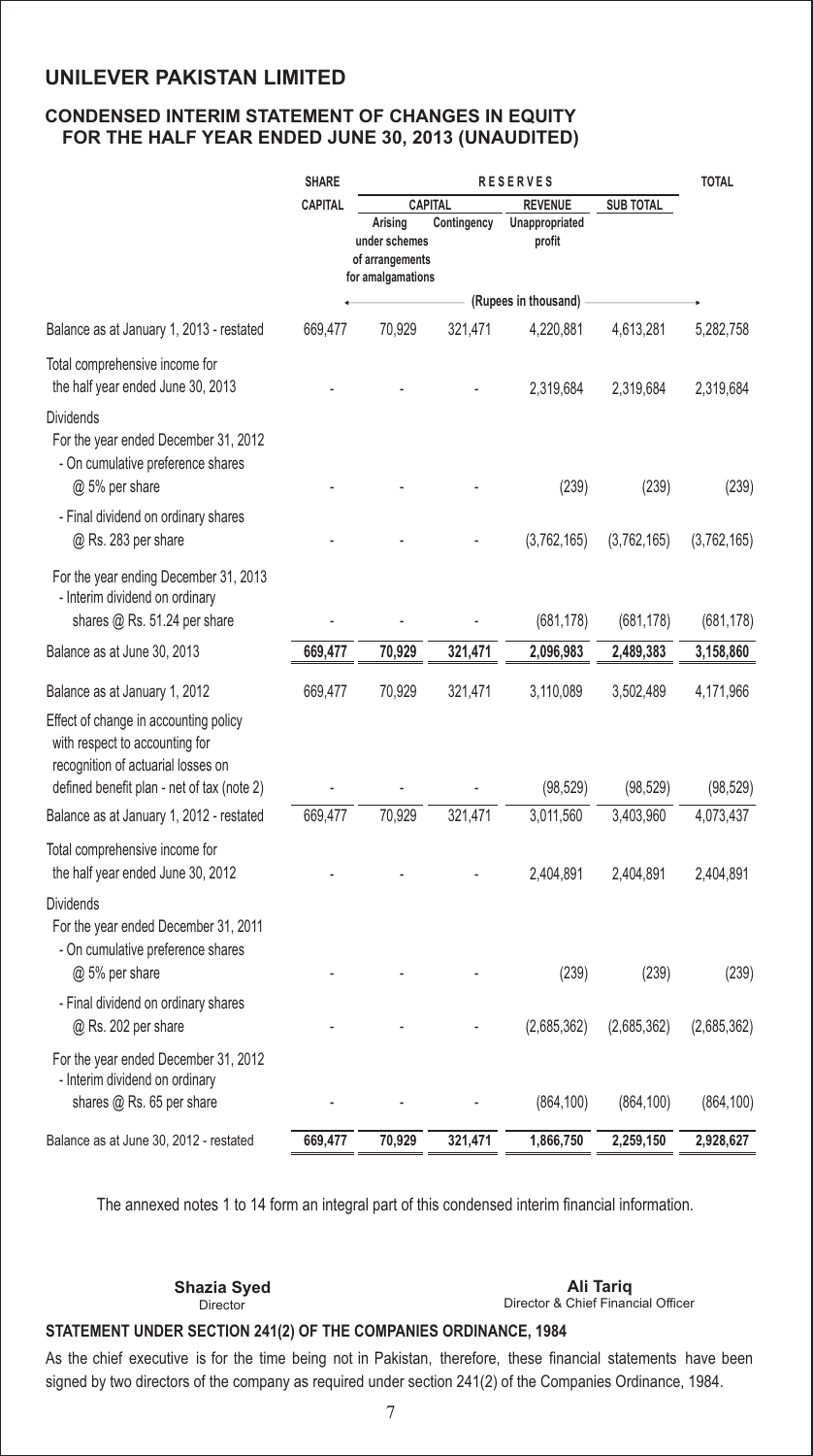### **CONDENSED INTERIM STATEMENT OF CHANGES IN EQUITY FOR THE HALF YEAR ENDED JUNE 30, 2013 (UNAUDITED)**

|                                                                                                                                                             | <b>SHARE</b>   | <b>RESERVES</b>                                                  |             |                          | <b>TOTAL</b>     |             |
|-------------------------------------------------------------------------------------------------------------------------------------------------------------|----------------|------------------------------------------------------------------|-------------|--------------------------|------------------|-------------|
|                                                                                                                                                             | <b>CAPITAL</b> |                                                                  | CAPITAL     | <b>REVENUE</b>           | <b>SUB TOTAL</b> |             |
|                                                                                                                                                             |                | Arising<br>under schemes<br>of arrangements<br>for amalgamations | Contingency | Unappropriated<br>profit |                  |             |
|                                                                                                                                                             |                |                                                                  |             | (Rupees in thousand)     |                  |             |
| Balance as at January 1, 2013 - restated                                                                                                                    | 669,477        | 70,929                                                           | 321,471     | 4,220,881                | 4,613,281        | 5,282,758   |
| Total comprehensive income for<br>the half year ended June 30, 2013                                                                                         |                |                                                                  |             | 2,319,684                | 2,319,684        | 2,319,684   |
| <b>Dividends</b><br>For the year ended December 31, 2012<br>- On cumulative preference shares<br>@ 5% per share                                             |                |                                                                  |             | (239)                    | (239)            | (239)       |
|                                                                                                                                                             |                |                                                                  |             |                          |                  |             |
| - Final dividend on ordinary shares<br>@ Rs. 283 per share                                                                                                  |                |                                                                  |             | (3,762,165)              | (3,762,165)      | (3,762,165) |
| For the year ending December 31, 2013<br>- Interim dividend on ordinary<br>shares @ Rs. 51.24 per share                                                     |                |                                                                  |             | (681, 178)               | (681, 178)       | (681, 178)  |
| Balance as at June 30, 2013                                                                                                                                 | 669,477        | 70,929                                                           | 321,471     | 2,096,983                | 2,489,383        | 3,158,860   |
| Balance as at January 1, 2012                                                                                                                               | 669,477        | 70,929                                                           | 321,471     | 3,110,089                | 3,502,489        | 4,171,966   |
| Effect of change in accounting policy<br>with respect to accounting for<br>recognition of actuarial losses on<br>defined benefit plan - net of tax (note 2) |                |                                                                  |             | (98, 529)                | (98, 529)        | (98, 529)   |
| Balance as at January 1, 2012 - restated                                                                                                                    | 669,477        | 70,929                                                           | 321,471     | 3,011,560                | 3,403,960        | 4,073,437   |
| Total comprehensive income for<br>the half year ended June 30, 2012                                                                                         |                |                                                                  |             | 2,404,891                | 2,404,891        | 2,404,891   |
| <b>Dividends</b><br>For the year ended December 31, 2011<br>- On cumulative preference shares<br>@ 5% per share                                             |                |                                                                  |             | (239)                    | (239)            | (239)       |
| - Final dividend on ordinary shares<br>@ Rs. 202 per share                                                                                                  |                |                                                                  |             | (2,685,362)              | (2,685,362)      | (2,685,362) |
| For the year ended December 31, 2012<br>- Interim dividend on ordinary<br>shares @ Rs. 65 per share                                                         |                |                                                                  |             | (864, 100)               | (864, 100)       | (864, 100)  |
|                                                                                                                                                             |                |                                                                  |             |                          |                  |             |
| Balance as at June 30, 2012 - restated                                                                                                                      | 669,477        | 70,929                                                           | 321,471     | 1,866,750                | 2,259,150        | 2,928,627   |

The annexed notes 1 to 14 form an integral part of this condensed interim financial information.

Director

#### Director & Chief Financial Officer **Shazia Syed Ali Tariq**

#### **STATEMENT UNDER SECTION 241(2) OF THE COMPANIES ORDINANCE, 1984**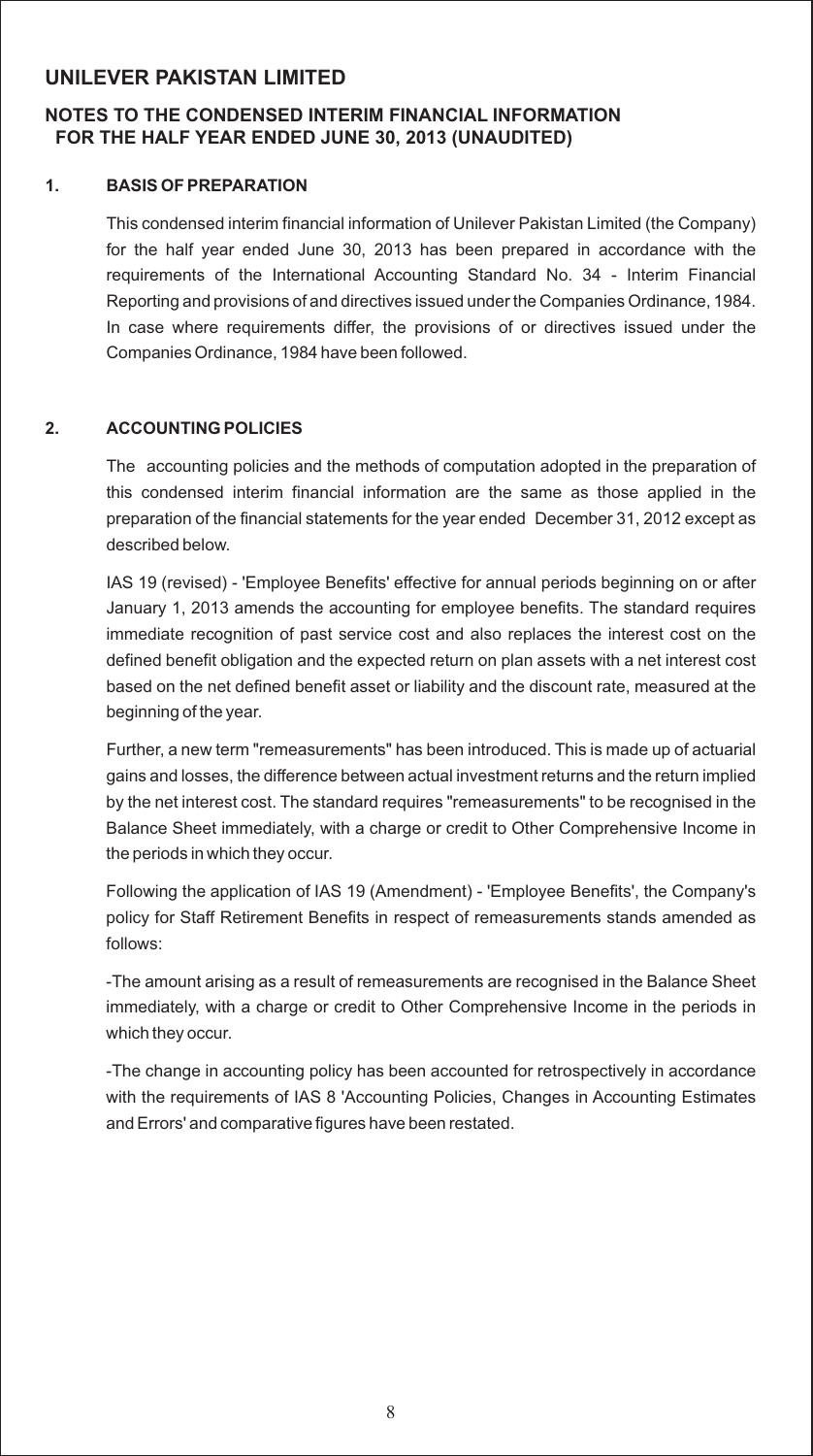### **NOTES TO THE CONDENSED INTERIM FINANCIAL INFORMATION FOR THE HALF YEAR ENDED JUNE 30, 2013 (UNAUDITED)**

#### **1. BASIS OF PREPARATION**

This condensed interim financial information of Unilever Pakistan Limited (the Company) for the half year ended June 30, 2013 has been prepared in accordance with the requirements of the International Accounting Standard No. 34 - Interim Financial Reporting and provisions of and directives issued under the Companies Ordinance, 1984. In case where requirements differ, the provisions of or directives issued under the Companies Ordinance, 1984 have been followed.

#### **2. ACCOUNTING POLICIES**

The accounting policies and the methods of computation adopted in the preparation of this condensed interim financial information are the same as those applied in the preparation of the financial statements for the year ended December 31, 2012 except as described below.

IAS 19 (revised) - 'Employee Benefits' effective for annual periods beginning on or after January 1, 2013 amends the accounting for employee benefits. The standard requires immediate recognition of past service cost and also replaces the interest cost on the defined benefit obligation and the expected return on plan assets with a net interest cost based on the net defined benefit asset or liability and the discount rate, measured at the beginning of the year.

Further, a new term "remeasurements" has been introduced. This is made up of actuarial gains and losses, the difference between actual investment returns and the return implied by the net interest cost. The standard requires "remeasurements" to be recognised in the Balance Sheet immediately, with a charge or credit to Other Comprehensive Income in the periods in which they occur.

Following the application of IAS 19 (Amendment) - 'Employee Benefits', the Company's policy for Staff Retirement Benefits in respect of remeasurements stands amended as follows:

-The amount arising as a result of remeasurements are recognised in the Balance Sheet immediately, with a charge or credit to Other Comprehensive Income in the periods in which they occur.

-The change in accounting policy has been accounted for retrospectively in accordance with the requirements of IAS 8 'Accounting Policies, Changes in Accounting Estimates and Errors' and comparative figures have been restated.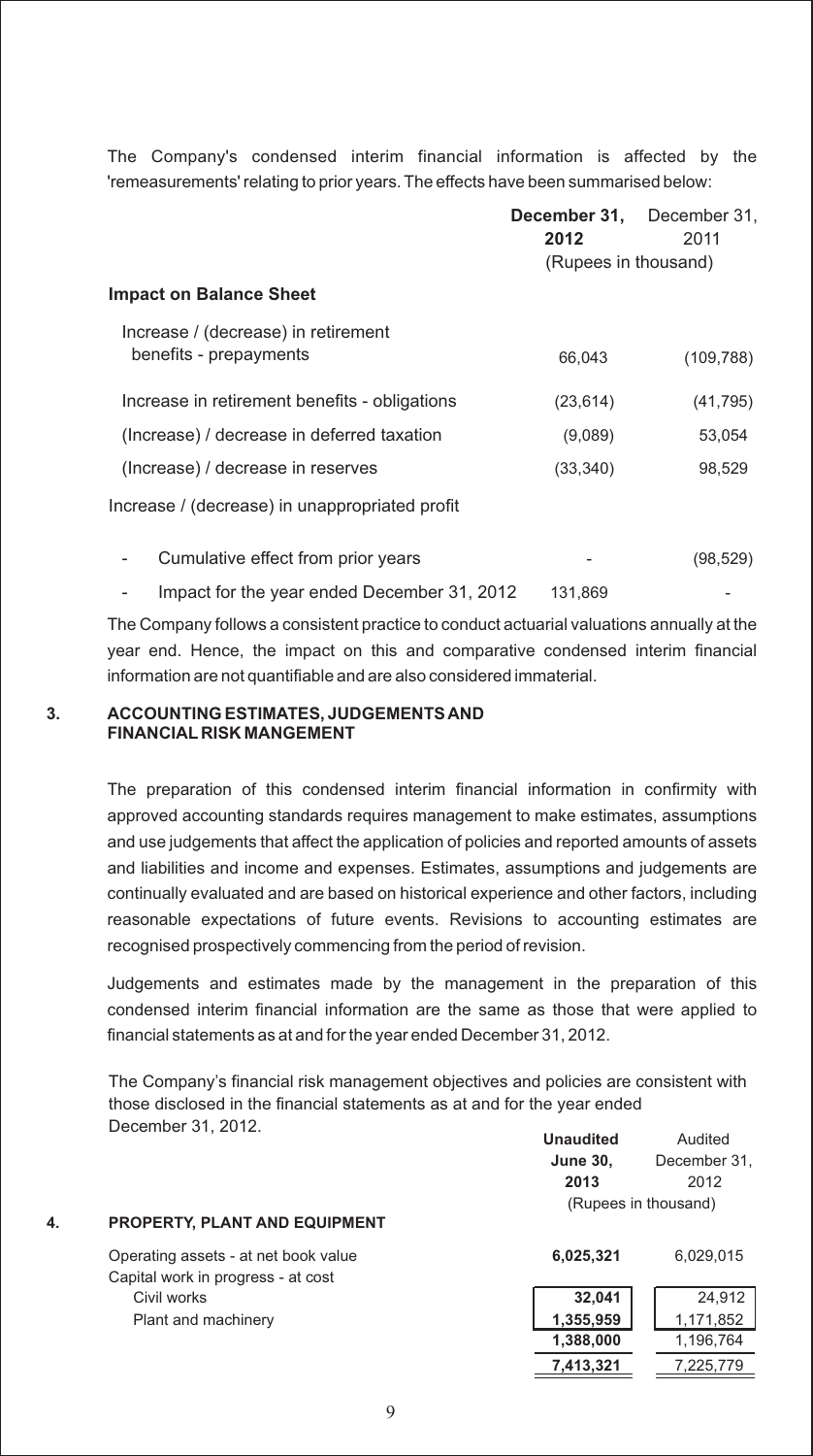The Company's condensed interim financial information is affected by the 'remeasurements' relating to prior years. The effects have been summarised below:

|                                                | December 31.<br>2012 | December 31,<br>2011 |
|------------------------------------------------|----------------------|----------------------|
|                                                | (Rupees in thousand) |                      |
| <b>Impact on Balance Sheet</b>                 |                      |                      |
| Increase / (decrease) in retirement            |                      |                      |
| benefits - prepayments                         | 66,043               | (109, 788)           |
| Increase in retirement benefits - obligations  | (23, 614)            | (41, 795)            |
| (Increase) / decrease in deferred taxation     | (9,089)              | 53,054               |
| (Increase) / decrease in reserves              | (33, 340)            | 98,529               |
| Increase / (decrease) in unappropriated profit |                      |                      |
| Cumulative effect from prior years             |                      | (98, 529)            |
| Impact for the year ended December 31, 2012    | 131,869              |                      |

The Company follows a consistent practice to conduct actuarial valuations annually at the year end. Hence, the impact on this and comparative condensed interim financial

information are not quantifiable and are also considered immaterial.

#### **3. ACCOUNTING ESTIMATES, JUDGEMENTS AND FINANCIAL RISK MANGEMENT**

The preparation of this condensed interim financial information in confirmity with approved accounting standards requires management to make estimates, assumptions and use judgements that affect the application of policies and reported amounts of assets and liabilities and income and expenses. Estimates, assumptions and judgements are continually evaluated and are based on historical experience and other factors, including reasonable expectations of future events. Revisions to accounting estimates are recognised prospectively commencing from the period of revision.

Judgements and estimates made by the management in the preparation of this condensed interim financial information are the same as those that were applied to financial statements as at and for the year ended December 31, 2012.

**Unaudited** Audited The Company's financial risk management objectives and policies are consistent with those disclosed in the financial statements as at and for the year ended December 31, 2012.

|    |                                                                            | <b>June 30,</b><br>2013 | December 31.<br>2012 |
|----|----------------------------------------------------------------------------|-------------------------|----------------------|
| 4. | <b>PROPERTY, PLANT AND EQUIPMENT</b>                                       |                         | (Rupees in thousand) |
|    | Operating assets - at net book value<br>Capital work in progress - at cost | 6,025,321               | 6,029,015            |
|    | Civil works                                                                | 32.041                  | 24,912               |
|    | Plant and machinery                                                        | 1,355,959               | 1,171,852            |
|    |                                                                            | 1,388,000               | 1,196,764            |
|    |                                                                            | 7,413,321               | 7,225,779            |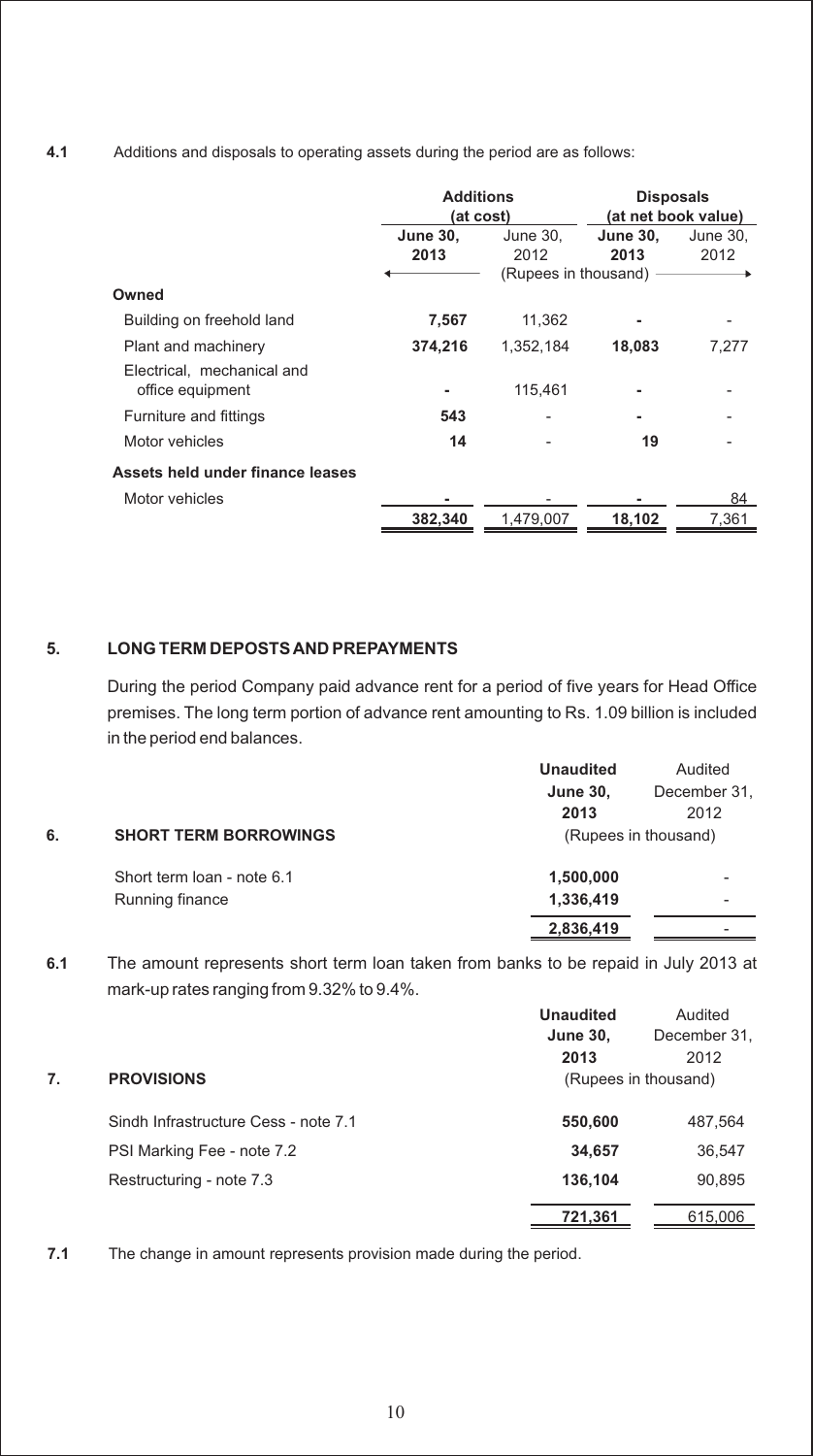**4.1** Additions and disposals to operating assets during the period are as follows:

|                                                | <b>Additions</b><br>(at cost) |                                            | <b>Disposals</b><br>(at net book value) |                  |
|------------------------------------------------|-------------------------------|--------------------------------------------|-----------------------------------------|------------------|
|                                                | <b>June 30,</b><br>2013       | June 30.<br>2012<br>(Rupees in thousand) - |                                         | June 30,<br>2012 |
| Owned                                          |                               |                                            |                                         |                  |
| Building on freehold land                      | 7.567                         | 11.362                                     |                                         |                  |
| Plant and machinery                            | 374,216                       | 1,352,184                                  | 18,083                                  | 7,277            |
| Electrical, mechanical and<br>office equipment |                               | 115.461                                    |                                         |                  |
| Furniture and fittings                         | 543                           |                                            |                                         |                  |
| Motor vehicles                                 | 14                            |                                            | 19                                      |                  |
| Assets held under finance leases               |                               |                                            |                                         |                  |
| Motor vehicles                                 |                               |                                            |                                         | 84               |
|                                                | 382,340                       | 1.479.007                                  | 18,102                                  | 7,361            |

#### **5. LONG TERM DEPOSTS AND PREPAYMENTS**

During the period Company paid advance rent for a period of five years for Head Office premises. The long term portion of advance rent amounting to Rs. 1.09 billion is included in the period end balances.

|    |                              | <b>Unaudited</b> | Audited              |
|----|------------------------------|------------------|----------------------|
|    |                              | <b>June 30,</b>  | December 31.         |
|    |                              | 2013             | 2012                 |
| 6. | <b>SHORT TERM BORROWINGS</b> |                  | (Rupees in thousand) |
|    | Short term loan - note 6.1   | 1,500,000        |                      |
|    | Running finance              | 1,336,419        |                      |
|    |                              | 2,836,419        |                      |
|    |                              |                  |                      |

**6.1** The amount represents short term loan taken from banks to be repaid in July 2013 at mark-up rates ranging from 9.32% to 9.4%.

|    |                                      | <b>Unaudited</b> | Audited              |
|----|--------------------------------------|------------------|----------------------|
|    |                                      | <b>June 30,</b>  | December 31,         |
|    |                                      | 2013             | 2012                 |
| 7. | <b>PROVISIONS</b>                    |                  | (Rupees in thousand) |
|    | Sindh Infrastructure Cess - note 7.1 | 550,600          | 487,564              |
|    | PSI Marking Fee - note 7.2           | 34,657           | 36,547               |
|    | Restructuring - note 7.3             | 136,104          | 90,895               |
|    |                                      | 721,361          | 615,006              |
|    |                                      |                  |                      |

**7.1** The change in amount represents provision made during the period.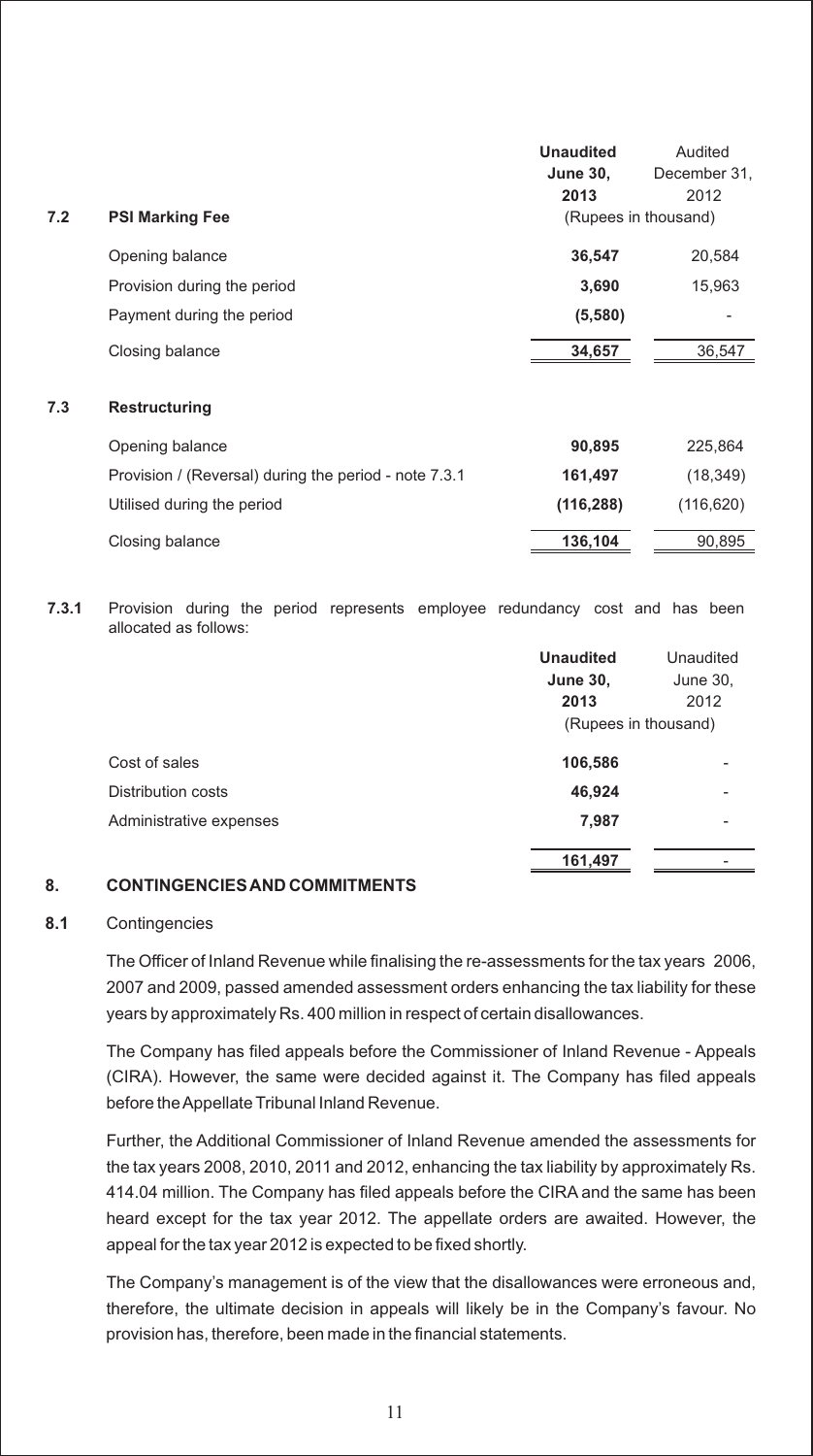|     |                                                       | <b>Unaudited</b>     | Audited      |
|-----|-------------------------------------------------------|----------------------|--------------|
|     |                                                       | <b>June 30,</b>      | December 31, |
|     |                                                       | 2013                 | 2012         |
| 7.2 | <b>PSI Marking Fee</b>                                | (Rupees in thousand) |              |
|     | Opening balance                                       | 36,547               | 20,584       |
|     | Provision during the period                           | 3,690                | 15,963       |
|     | Payment during the period                             | (5,580)              |              |
|     | Closing balance                                       | 34,657               | 36,547       |
| 7.3 | Restructuring                                         |                      |              |
|     | Opening balance                                       | 90,895               | 225,864      |
|     | Provision / (Reversal) during the period - note 7.3.1 | 161,497              | (18, 349)    |
|     | Utilised during the period                            | (116, 288)           | (116, 620)   |
|     | Closing balance                                       | 136,104              | 90,895       |
|     |                                                       |                      |              |

**7.3.1** Provision during the period represents employee redundancy cost and has been allocated as follows:

|                         | <b>Unaudited</b>     | Unaudited |
|-------------------------|----------------------|-----------|
|                         | <b>June 30,</b>      | June 30,  |
|                         | 2013                 | 2012      |
|                         | (Rupees in thousand) |           |
| Cost of sales           | 106,586              |           |
| Distribution costs      | 46,924               |           |
| Administrative expenses | 7,987                |           |
|                         | 161,497              |           |

#### **8. CONTINGENCIES AND COMMITMENTS**

#### **8.1** Contingencies

The Officer of Inland Revenue while finalising the re-assessments for the tax years 2006, 2007 and 2009, passed amended assessment orders enhancing the tax liability for these years by approximately Rs. 400 million in respect of certain disallowances.

The Company has filed appeals before the Commissioner of Inland Revenue - Appeals (CIRA). However, the same were decided against it. The Company has filed appeals before the Appellate Tribunal Inland Revenue.

Further, the Additional Commissioner of Inland Revenue amended the assessments for the tax years 2008, 2010, 2011 and 2012, enhancing the tax liability by approximately Rs. 414.04 million. The Company has filed appeals before the CIRA and the same has been heard except for the tax year 2012. The appellate orders are awaited. However, the appeal for the tax year 2012 is expected to be fixed shortly.

The Company's management is of the view that the disallowances were erroneous and, therefore, the ultimate decision in appeals will likely be in the Company's favour. No provision has, therefore, been made in the financial statements.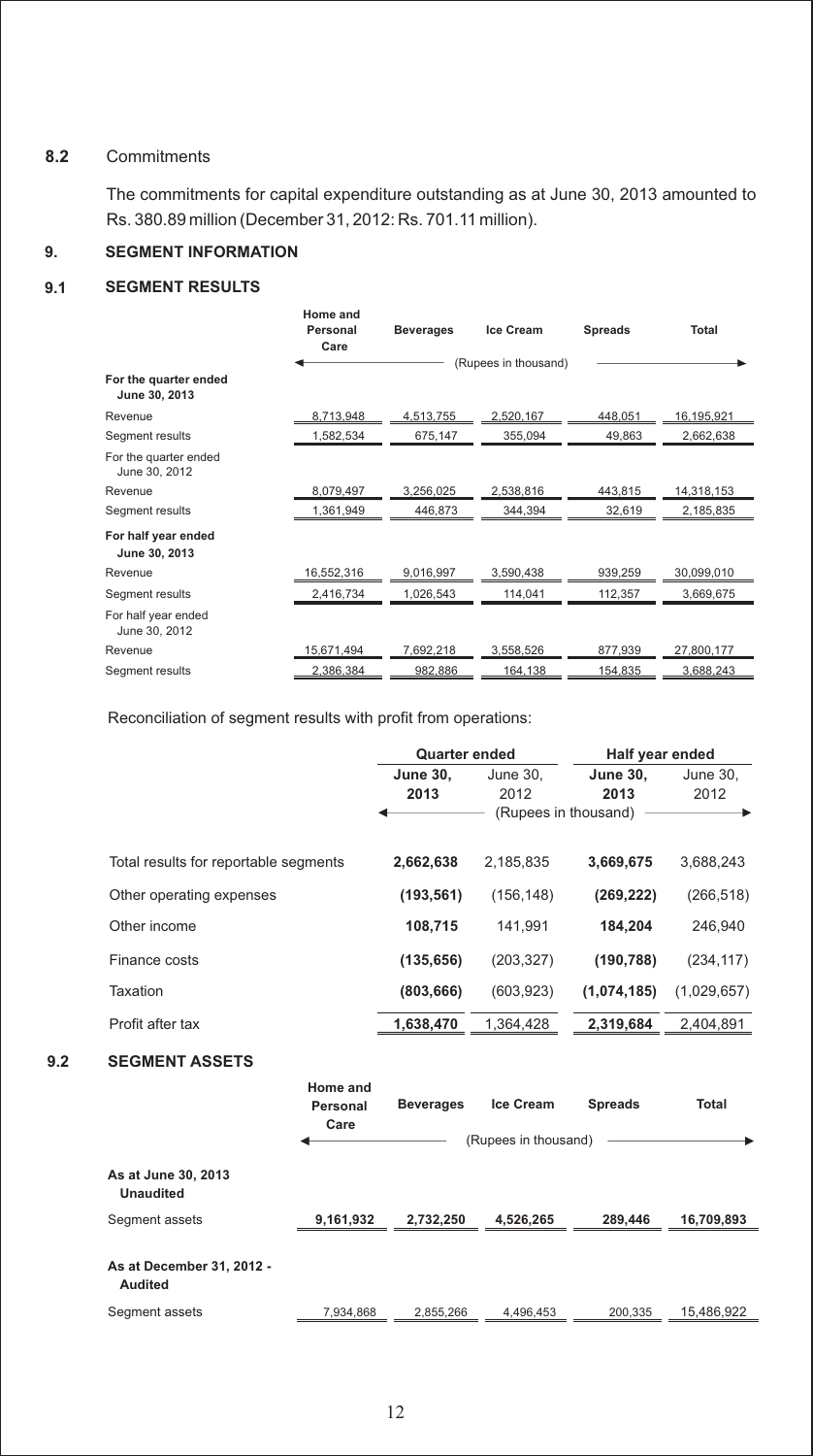#### **8.2** Commitments

The commitments for capital expenditure outstanding as at June 30, 2013 amounted to Rs. 380.89 million (December 31, 2012: Rs. 701.11 million).

#### **9. SEGMENT INFORMATION**

#### **9.1 SEGMENT RESULTS**

|                                        | Home and<br>Personal<br>Care | <b>Beverages</b> | <b>Ice Cream</b>     | <b>Spreads</b> | <b>Total</b> |
|----------------------------------------|------------------------------|------------------|----------------------|----------------|--------------|
| For the quarter ended                  |                              |                  | (Rupees in thousand) |                |              |
| June 30, 2013                          |                              |                  |                      |                |              |
| Revenue                                | 8,713,948                    | 4,513,755        | 2,520,167            | 448.051        | 16,195,921   |
| Segment results                        | 1,582,534                    | 675,147          | 355,094              | 49,863         | 2,662,638    |
| For the quarter ended<br>June 30, 2012 |                              |                  |                      |                |              |
| Revenue                                | 8,079,497                    | 3,256,025        | 2,538,816            | 443,815        | 14,318,153   |
| Segment results                        | 1,361,949                    | 446,873          | 344,394              | 32,619         | 2,185,835    |
| For half year ended<br>June 30, 2013   |                              |                  |                      |                |              |
| Revenue                                | 16,552,316                   | 9,016,997        | 3,590,438            | 939,259        | 30,099,010   |
| Segment results                        | 2,416,734                    | 1,026,543        | 114,041              | 112,357        | 3,669,675    |
| For half year ended<br>June 30, 2012   |                              |                  |                      |                |              |
| Revenue                                | 15,671,494                   | 7,692,218        | 3,558,526            | 877,939        | 27,800,177   |
| Segment results                        | 2,386,384                    | 982,886          | 164,138              | 154,835        | 3,688,243    |

Reconciliation of segment results with profit from operations:

|                                       | <b>Quarter ended</b> |                      | Half year ended |             |  |
|---------------------------------------|----------------------|----------------------|-----------------|-------------|--|
|                                       | <b>June 30,</b>      | June 30,             | <b>June 30,</b> | June 30,    |  |
|                                       | 2013                 | 2012                 | 2013            | 2012        |  |
|                                       |                      | (Rupees in thousand) |                 |             |  |
| Total results for reportable segments | 2,662,638            | 2.185.835            | 3,669,675       | 3.688.243   |  |
| Other operating expenses              | (193, 561)           | (156, 148)           | (269, 222)      | (266, 518)  |  |
| Other income                          | 108,715              | 141.991              | 184.204         | 246,940     |  |
| Finance costs                         | (135, 656)           | (203, 327)           | (190, 788)      | (234, 117)  |  |
| Taxation                              | (803, 666)           | (603, 923)           | (1,074,185)     | (1,029,657) |  |
| Profit after tax                      | 1,638,470            | 1,364,428            | 2,319,684       | 2.404.891   |  |
|                                       |                      |                      |                 |             |  |

#### **9.2 SEGMENT ASSETS**

|                                         | Home and<br>Personal<br>Care | <b>Beverages</b> | <b>Ice Cream</b><br>(Rupees in thousand) | <b>Spreads</b> | Total      |
|-----------------------------------------|------------------------------|------------------|------------------------------------------|----------------|------------|
| As at June 30, 2013<br><b>Unaudited</b> |                              |                  |                                          |                |            |
| Segment assets                          | 9,161,932                    | 2,732,250        | 4,526,265                                | 289.446        | 16,709,893 |
| As at December 31, 2012 -<br>Audited    |                              |                  |                                          |                |            |
| Segment assets                          | 7.934.868                    | 2.855.266        | 4.496.453                                | 200.335        | 15.486.922 |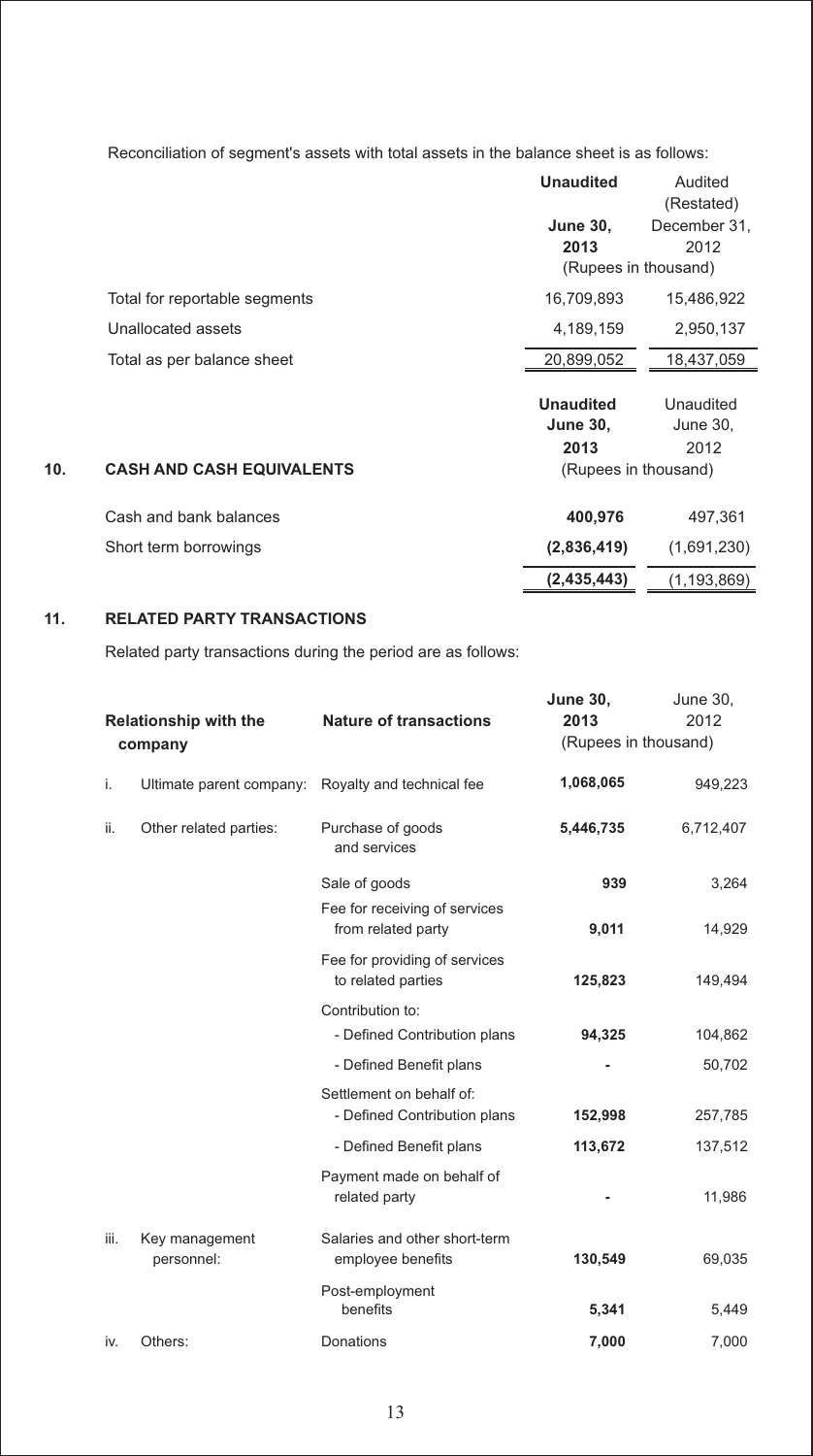Reconciliation of segment's assets with total assets in the balance sheet is as follows:

|     |                                  | <b>Unaudited</b><br><b>June 30.</b><br>2013<br>(Rupees in thousand) | Audited<br>(Restated)<br>December 31.<br>2012 |
|-----|----------------------------------|---------------------------------------------------------------------|-----------------------------------------------|
|     | Total for reportable segments    | 16,709,893                                                          | 15,486,922                                    |
|     | Unallocated assets               | 4,189,159                                                           | 2,950,137                                     |
|     | Total as per balance sheet       | 20,899,052                                                          | 18,437,059                                    |
| 10. | <b>CASH AND CASH EQUIVALENTS</b> | <b>Unaudited</b><br><b>June 30,</b><br>2013<br>(Rupees in thousand) | Unaudited<br>June 30,<br>2012                 |
|     | Cash and bank balances           | 400,976                                                             | 497,361                                       |
|     | Short term borrowings            | (2,836,419)                                                         | (1,691,230)                                   |
|     |                                  | (2, 435, 443)                                                       | (1, 193, 869)                                 |

#### **11. RELATED PARTY TRANSACTIONS**

Related party transactions during the period are as follows:

|      | <b>Relationship with the</b><br>company | <b>Nature of transactions</b>                            | <b>June 30,</b><br>2013<br>(Rupees in thousand) | June 30,<br>2012 |
|------|-----------------------------------------|----------------------------------------------------------|-------------------------------------------------|------------------|
| i.   | Ultimate parent company:                | Royalty and technical fee                                | 1,068,065                                       | 949,223          |
| ii.  | Other related parties:                  | Purchase of goods<br>and services                        | 5,446,735                                       | 6,712,407        |
|      |                                         | Sale of goods                                            | 939                                             | 3,264            |
|      |                                         | Fee for receiving of services<br>from related party      | 9,011                                           | 14,929           |
|      |                                         | Fee for providing of services<br>to related parties      | 125,823                                         | 149,494          |
|      |                                         | Contribution to:                                         |                                                 |                  |
|      |                                         | - Defined Contribution plans                             | 94,325                                          | 104,862          |
|      |                                         | - Defined Benefit plans                                  |                                                 | 50,702           |
|      |                                         | Settlement on behalf of:<br>- Defined Contribution plans | 152,998                                         | 257,785          |
|      |                                         | - Defined Benefit plans                                  | 113,672                                         | 137,512          |
|      |                                         | Payment made on behalf of<br>related party               |                                                 | 11,986           |
| iii. | Key management<br>personnel:            | Salaries and other short-term<br>employee benefits       | 130,549                                         | 69,035           |
|      |                                         | Post-employment<br>benefits                              | 5,341                                           | 5,449            |
| iv.  | Others:                                 | Donations                                                | 7,000                                           | 7,000            |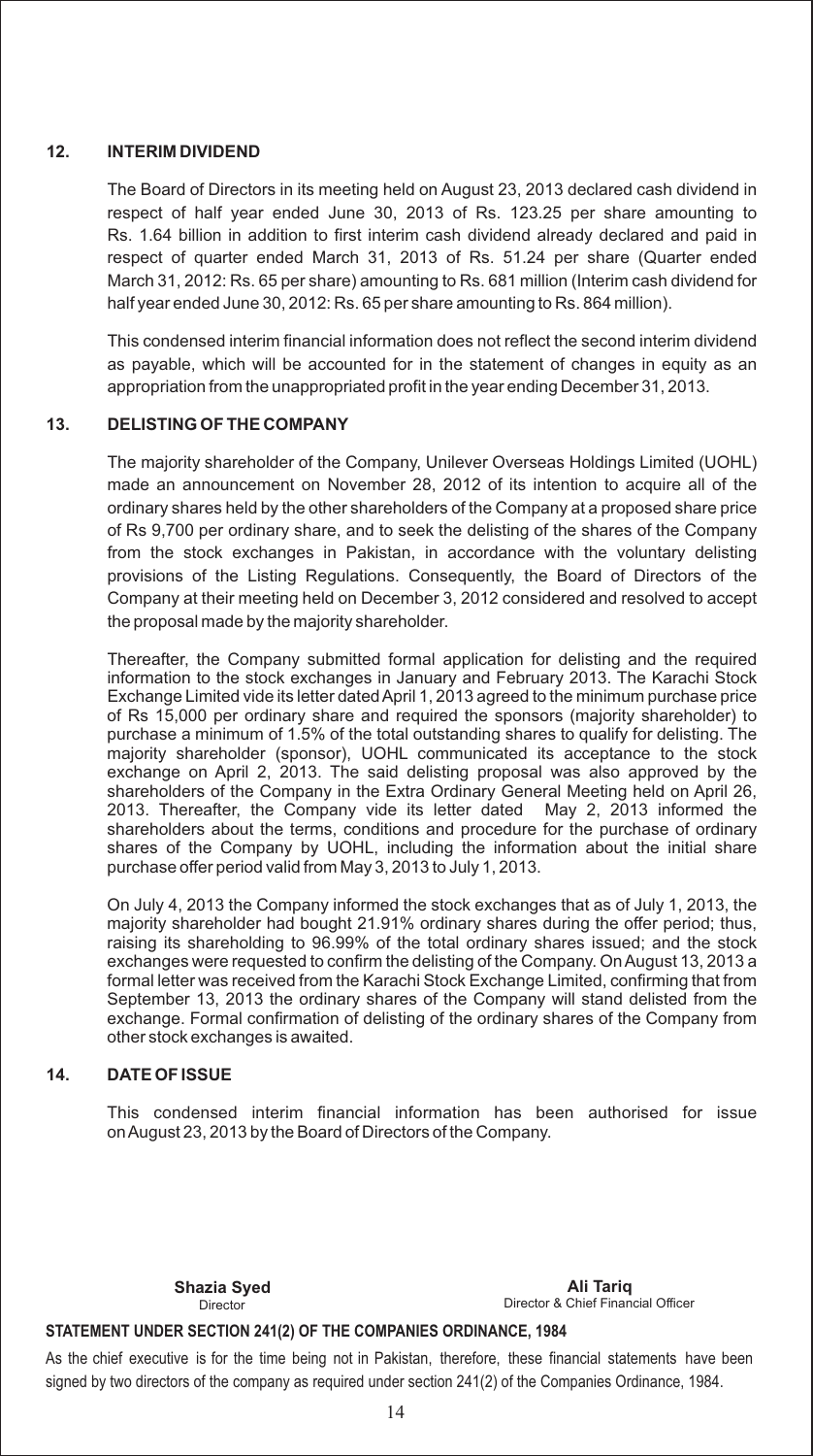#### **12. INTERIM DIVIDEND**

The Board of Directors in its meeting held on August 23, 2013 declared cash dividend in respect of half year ended June 30, 2013 of Rs. 123.25 per share amounting to Rs. 1.64 billion in addition to first interim cash dividend already declared and paid in respect of quarter ended March 31, 2013 of Rs. 51.24 per share (Quarter ended March 31, 2012: Rs. 65 per share) amounting to Rs. 681 million (Interim cash dividend for half year ended June 30, 2012: Rs. 65 per share amounting to Rs. 864 million).

This condensed interim financial information does not reflect the second interim dividend as payable, which will be accounted for in the statement of changes in equity as an appropriation from the unappropriated profit in the year ending December 31, 2013.

#### **13. DELISTING OF THE COMPANY**

The majority shareholder of the Company, Unilever Overseas Holdings Limited (UOHL) made an announcement on November 28, 2012 of its intention to acquire all of the ordinary shares held by the other shareholders of the Company at a proposed share price of Rs 9,700 per ordinary share, and to seek the delisting of the shares of the Company from the stock exchanges in Pakistan, in accordance with the voluntary delisting provisions of the Listing Regulations. Consequently, the Board of Directors of the Company at their meeting held on December 3, 2012 considered and resolved to accept the proposal made by the majority shareholder.

Thereafter, the Company submitted formal application for delisting and the required information to the stock exchanges in January and February 2013. The Karachi Stock Exchange Limited vide its letter dated April 1, 2013 agreed to the minimum purchase price of Rs 15,000 per ordinary share and required the sponsors (majority shareholder) to purchase a minimum of 1.5% of the total outstanding shares to qualify for delisting. The majority shareholder (sponsor), UOHL communicated its acceptance to the stock exchange on April 2, 2013. The said delisting proposal was also approved by the shareholders of the Company in the Extra Ordinary General Meeting held on April 26, 2013. Thereafter, the Company vide its letter dated May 2, 2013 informed the shareholders about the terms, conditions and procedure for the purchase of ordinary shares of the Company by UOHL, including the information about the initial share purchase offer period valid from May 3, 2013 to July 1, 2013.

On July 4, 2013 the Company informed the stock exchanges that as of July 1, 2013, the majority shareholder had bought 21.91% ordinary shares during the offer period; thus, raising its shareholding to 96.99% of the total ordinary shares issued; and the stock exchanges were requested to confirm the delisting of the Company. On August 13, 2013 a formal letter was received from the Karachi Stock Exchange Limited, confirming that from September 13, 2013 the ordinary shares of the Company will stand delisted from the exchange. Formal confirmation of delisting of the ordinary shares of the Company from other stock exchanges is awaited.

#### **14. DATE OF ISSUE**

This condensed interim financial information has been authorised for issue on August 23, 2013 by the Board of Directors of the Company.

Director

Director & Chief Financial Officer **Shazia Syed Ali Tariq**

#### **STATEMENT UNDER SECTION 241(2) OF THE COMPANIES ORDINANCE, 1984**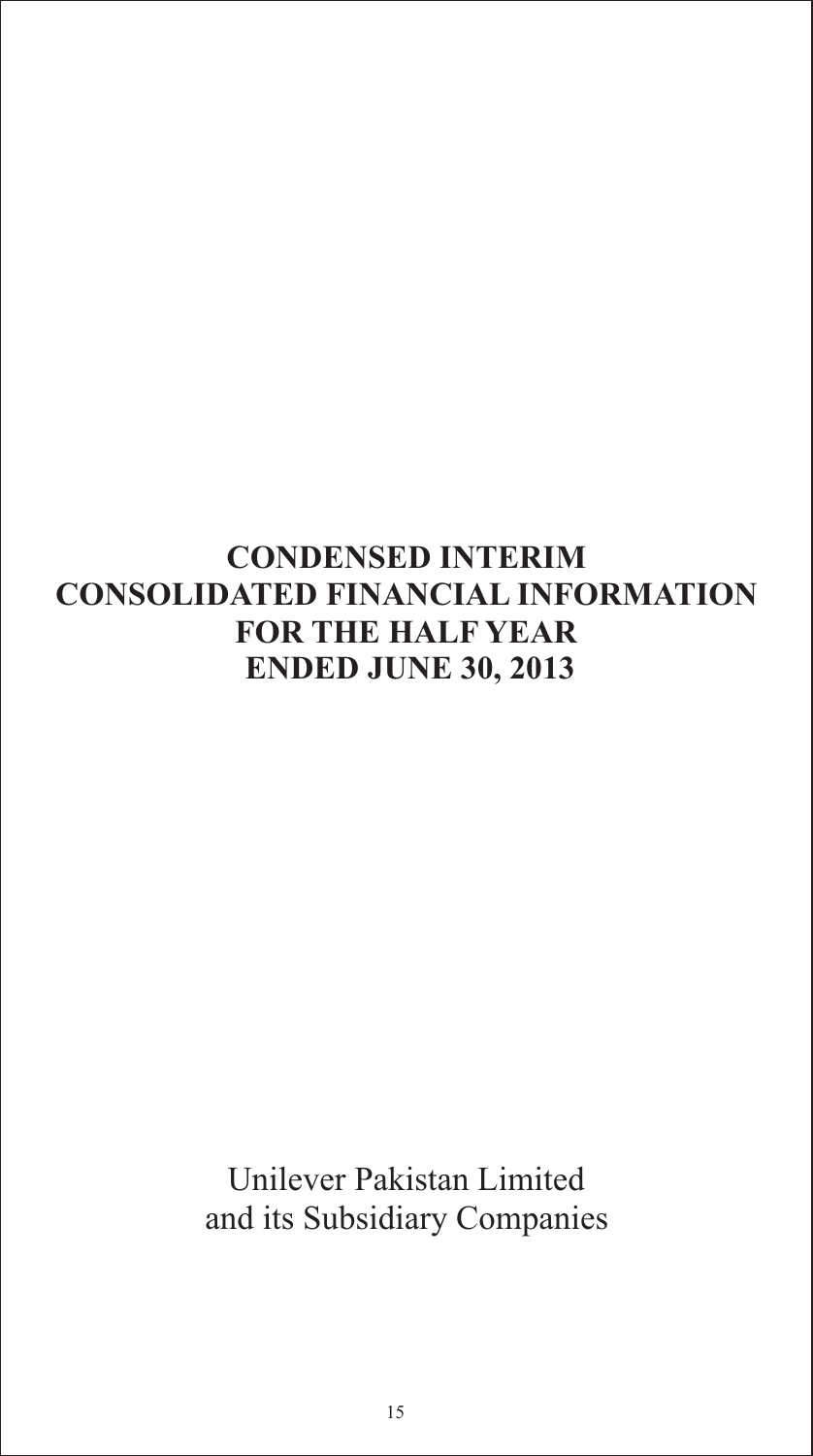## **CONDENSED INTERIM CONSOLIDATED FINANCIAL INFORMATION FOR THE HALF YEAR ENDED JUNE 30, 2013**

Unilever Pakistan Limited and its Subsidiary Companies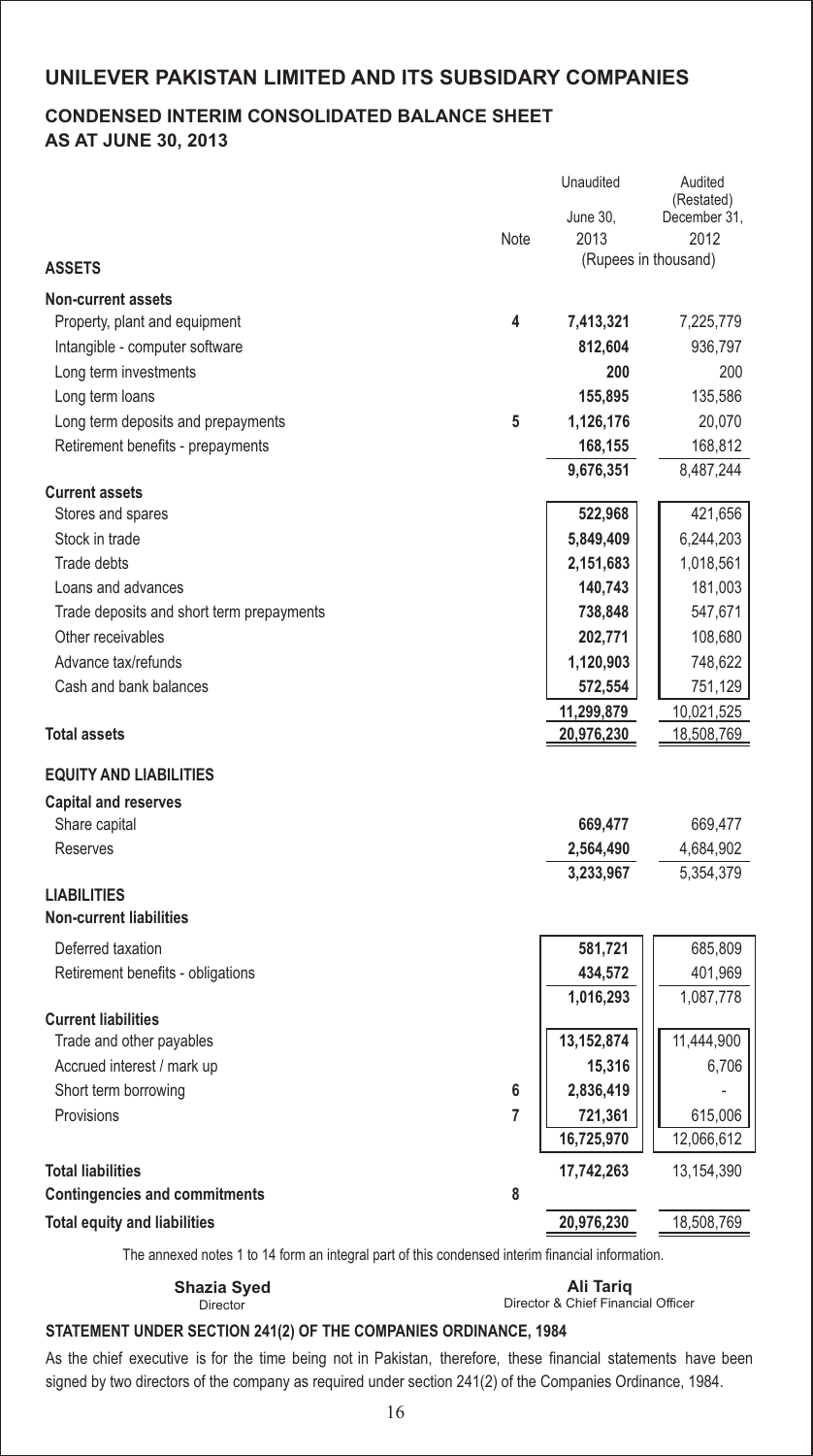## **CONDENSED INTERIM CONSOLIDATED BALANCE SHEET AS AT JUNE 30, 2013**

|                                           |      | Unaudited    | Audited<br>(Restated) |
|-------------------------------------------|------|--------------|-----------------------|
|                                           |      | June 30,     | December 31,          |
|                                           | Note | 2013         | 2012                  |
| <b>ASSETS</b>                             |      |              | (Rupees in thousand)  |
| <b>Non-current assets</b>                 |      |              |                       |
| Property, plant and equipment             | 4    | 7,413,321    | 7,225,779             |
| Intangible - computer software            |      | 812,604      | 936,797               |
| Long term investments                     |      | 200          | 200                   |
| Long term loans                           |      | 155,895      | 135,586               |
| Long term deposits and prepayments        | 5    | 1,126,176    | 20,070                |
| Retirement benefits - prepayments         |      | 168,155      | 168,812               |
|                                           |      | 9,676,351    | 8,487,244             |
| <b>Current assets</b>                     |      |              |                       |
| Stores and spares                         |      | 522,968      | 421,656               |
| Stock in trade                            |      | 5,849,409    | 6,244,203             |
| Trade debts                               |      | 2,151,683    | 1,018,561             |
| Loans and advances                        |      | 140,743      | 181,003               |
| Trade deposits and short term prepayments |      | 738,848      | 547,671               |
| Other receivables                         |      | 202,771      | 108,680               |
| Advance tax/refunds                       |      | 1,120,903    | 748,622               |
| Cash and bank balances                    |      | 572,554      | 751,129               |
|                                           |      | 11,299,879   | 10,021,525            |
| <b>Total assets</b>                       |      | 20,976,230   | 18,508,769            |
| <b>EQUITY AND LIABILITIES</b>             |      |              |                       |
| <b>Capital and reserves</b>               |      |              |                       |
| Share capital                             |      | 669,477      | 669,477               |
| Reserves                                  |      | 2,564,490    | 4,684,902             |
|                                           |      | 3,233,967    | 5,354,379             |
| <b>LIABILITIES</b>                        |      |              |                       |
| <b>Non-current liabilities</b>            |      |              |                       |
| Deferred taxation                         |      | 581,721      | 685,809               |
| Retirement benefits - obligations         |      | 434,572      | 401,969               |
|                                           |      | 1,016,293    | 1,087,778             |
| <b>Current liabilities</b>                |      |              |                       |
| Trade and other payables                  |      | 13, 152, 874 | 11,444,900            |
| Accrued interest / mark up                |      | 15,316       | 6,706                 |
| Short term borrowing                      | 6    | 2,836,419    |                       |
| Provisions                                | 7    | 721,361      | 615,006               |
|                                           |      | 16,725,970   | 12,066,612            |
| <b>Total liabilities</b>                  |      | 17,742,263   | 13,154,390            |
| <b>Contingencies and commitments</b>      | 8    |              |                       |
| <b>Total equity and liabilities</b>       |      | 20,976,230   | 18,508,769            |

The annexed notes 1 to 14 form an integral part of this condensed interim financial information.

Director

Director & Chief Financial Officer **Shazia Syed Ali Tariq**

## **STATEMENT UNDER SECTION 241(2) OF THE COMPANIES ORDINANCE, 1984**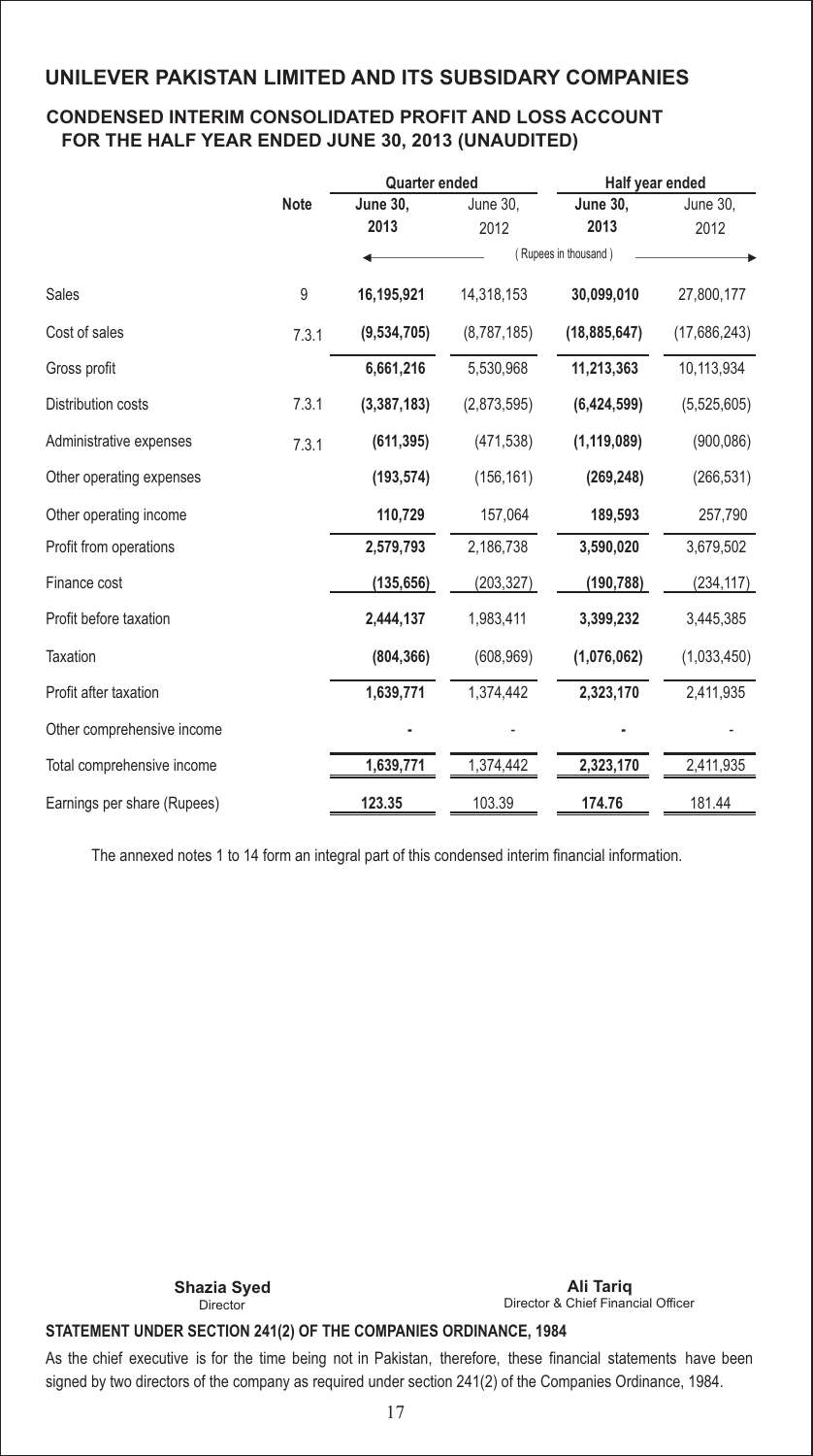### **CONDENSED INTERIM CONSOLIDATED PROFIT AND LOSS ACCOUNT FOR THE HALF YEAR ENDED JUNE 30, 2013 (UNAUDITED)**

|                             |             | <b>Quarter ended</b> |             | Half year ended      |              |  |
|-----------------------------|-------------|----------------------|-------------|----------------------|--------------|--|
|                             | <b>Note</b> | <b>June 30,</b>      | June 30,    | <b>June 30,</b>      | June 30,     |  |
|                             |             | 2013                 | 2012        | 2013                 | 2012         |  |
|                             |             |                      |             | (Rupees in thousand) |              |  |
| Sales                       | 9           | 16,195,921           | 14,318,153  | 30,099,010           | 27,800,177   |  |
| Cost of sales               | 7.3.1       | (9,534,705)          | (8,787,185) | (18, 885, 647)       | (17,686,243) |  |
| Gross profit                |             | 6,661,216            | 5,530,968   | 11,213,363           | 10,113,934   |  |
| Distribution costs          | 7.3.1       | (3, 387, 183)        | (2,873,595) | (6,424,599)          | (5,525,605)  |  |
| Administrative expenses     | 7.3.1       | (611, 395)           | (471, 538)  | (1, 119, 089)        | (900, 086)   |  |
| Other operating expenses    |             | (193, 574)           | (156, 161)  | (269, 248)           | (266, 531)   |  |
| Other operating income      |             | 110,729              | 157,064     | 189,593              | 257,790      |  |
| Profit from operations      |             | 2,579,793            | 2,186,738   | 3,590,020            | 3,679,502    |  |
| Finance cost                |             | (135, 656)           | (203, 327)  | (190, 788)           | (234,117)    |  |
| Profit before taxation      |             | 2,444,137            | 1,983,411   | 3,399,232            | 3,445,385    |  |
| Taxation                    |             | (804, 366)           | (608, 969)  | (1,076,062)          | (1,033,450)  |  |
| Profit after taxation       |             | 1,639,771            | 1,374,442   | 2,323,170            | 2,411,935    |  |
| Other comprehensive income  |             |                      |             |                      |              |  |
| Total comprehensive income  |             | 1,639,771            | 1,374,442   | 2,323,170            | 2,411,935    |  |
| Earnings per share (Rupees) |             | 123.35               | 103.39      | 174.76               | 181.44       |  |

The annexed notes 1 to 14 form an integral part of this condensed interim financial information.

Director

Director & Chief Financial Officer **Shazia Syed Ali Tariq**

## **STATEMENT UNDER SECTION 241(2) OF THE COMPANIES ORDINANCE, 1984**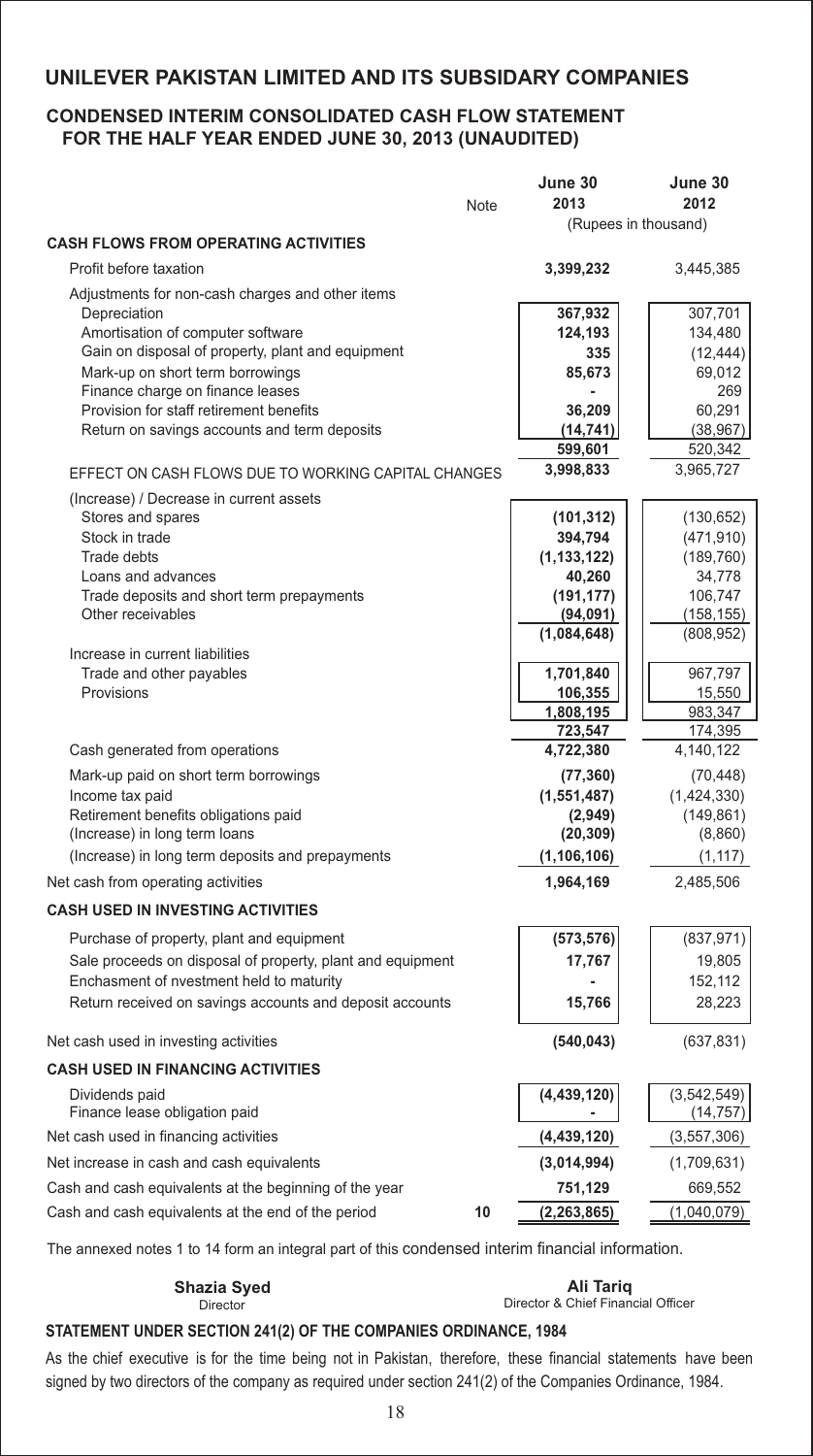#### **CONDENSED INTERIM CONSOLIDATED CASH FLOW STATEMENT FOR THE HALF YEAR ENDED JUNE 30, 2013 (UNAUDITED)**

|                                                                      |      | June 30                | June 30               |
|----------------------------------------------------------------------|------|------------------------|-----------------------|
|                                                                      | Note | 2013                   | 2012                  |
|                                                                      |      | (Rupees in thousand)   |                       |
| <b>CASH FLOWS FROM OPERATING ACTIVITIES</b>                          |      |                        |                       |
| Profit before taxation                                               |      | 3,399,232              | 3,445,385             |
| Adjustments for non-cash charges and other items                     |      |                        |                       |
| Depreciation                                                         |      | 367,932                | 307,701               |
| Amortisation of computer software                                    |      | 124,193                | 134,480               |
| Gain on disposal of property, plant and equipment                    |      | 335                    | (12, 444)             |
| Mark-up on short term borrowings<br>Finance charge on finance leases |      | 85.673                 | 69,012<br>269         |
| Provision for staff retirement benefits                              |      | 36,209                 | 60,291                |
| Return on savings accounts and term deposits                         |      | (14, 741)              | (38, 967)             |
|                                                                      |      | 599,601                | 520,342               |
| EFFECT ON CASH FLOWS DUE TO WORKING CAPITAL CHANGES                  |      | 3,998,833              | 3,965,727             |
| (Increase) / Decrease in current assets                              |      |                        |                       |
| Stores and spares                                                    |      | (101, 312)             | (130, 652)            |
| Stock in trade                                                       |      | 394,794                | (471, 910)            |
| Trade debts                                                          |      | (1, 133, 122)          | (189, 760)            |
| Loans and advances                                                   |      | 40,260                 | 34,778                |
| Trade deposits and short term prepayments<br>Other receivables       |      | (191, 177)<br>(94,091) | 106,747<br>(158, 155) |
|                                                                      |      | (1,084,648)            | (808, 952)            |
| Increase in current liabilities                                      |      |                        |                       |
| Trade and other payables                                             |      | 1,701,840              | 967,797               |
| Provisions                                                           |      | 106,355                | 15,550                |
|                                                                      |      | 1,808,195<br>723,547   | 983,347<br>174,395    |
| Cash generated from operations                                       |      | 4,722,380              | 4,140,122             |
| Mark-up paid on short term borrowings                                |      | (77, 360)              | (70, 448)             |
| Income tax paid                                                      |      | (1,551,487)            | (1,424,330)           |
| Retirement benefits obligations paid                                 |      | (2,949)                | (149, 861)            |
| (Increase) in long term loans                                        |      | (20, 309)              | (8,860)               |
| (Increase) in long term deposits and prepayments                     |      | (1, 106, 106)          | (1, 117)              |
| Net cash from operating activities                                   |      | 1,964,169              | 2,485,506             |
| <b>CASH USED IN INVESTING ACTIVITIES</b>                             |      |                        |                       |
| Purchase of property, plant and equipment                            |      | (573, 576)             | (837, 971)            |
| Sale proceeds on disposal of property, plant and equipment           |      | 17,767                 | 19,805                |
| Enchasment of nvestment held to maturity                             |      |                        | 152,112               |
| Return received on savings accounts and deposit accounts             |      | 15,766                 | 28,223                |
| Net cash used in investing activities                                |      | (540, 043)             | (637, 831)            |
| <b>CASH USED IN FINANCING ACTIVITIES</b>                             |      |                        |                       |
| Dividends paid                                                       |      | (4, 439, 120)          | (3, 542, 549)         |
| Finance lease obligation paid                                        |      |                        | (14, 757)             |
| Net cash used in financing activities                                |      | (4, 439, 120)          | (3,557,306)           |
| Net increase in cash and cash equivalents                            |      | (3,014,994)            | (1,709,631)           |
| Cash and cash equivalents at the beginning of the year               |      | 751,129                | 669,552               |
| Cash and cash equivalents at the end of the period                   | 10   | (2, 263, 865)          | (1,040,079)           |

The annexed notes 1 to 14 form an integral part of this condensed interim financial information.

| <b>UNICAL UYUU</b>                                    | ALL IGHT                           |
|-------------------------------------------------------|------------------------------------|
| Director                                              | Director & Chief Financial Officer |
| ENT UNDER GEGTION AMM OF THE COMBANIES ORDINANGE MOAL |                                    |

#### **STATEMENT UNDER SECTION 241(2) OF THE COMPANIES ORDINANCE, 1984**

As the chief executive is for the time being not in Pakistan, therefore, these financial statements have been signed by two directors of the company as required under section 241(2) of the Companies Ordinance, 1984.

**Shazia Syed Ali Tariq**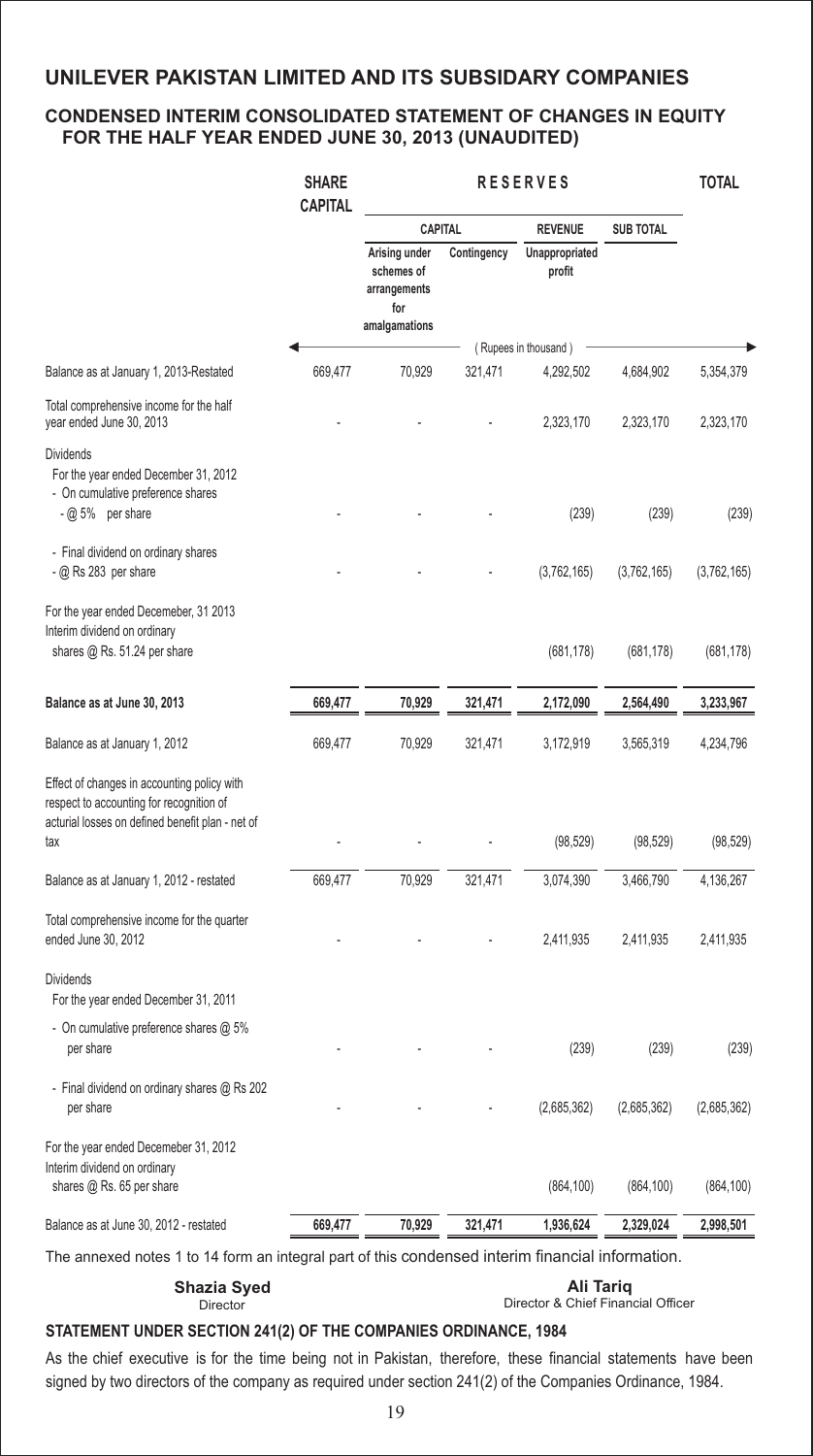### **CONDENSED INTERIM CONSOLIDATED STATEMENT OF CHANGES IN EQUITY FOR THE HALF YEAR ENDED JUNE 30, 2013 (UNAUDITED)**

|                                                                                                                                                    | <b>SHARE</b><br><b>CAPITAL</b> | <b>RESERVES</b>                                                     |             |                          | <b>TOTAL</b>     |             |
|----------------------------------------------------------------------------------------------------------------------------------------------------|--------------------------------|---------------------------------------------------------------------|-------------|--------------------------|------------------|-------------|
|                                                                                                                                                    |                                | <b>CAPITAL</b>                                                      |             | <b>REVENUE</b>           | <b>SUB TOTAL</b> |             |
|                                                                                                                                                    |                                | Arising under<br>schemes of<br>arrangements<br>for<br>amalgamations | Contingency | Unappropriated<br>profit |                  |             |
|                                                                                                                                                    |                                |                                                                     |             | (Rupees in thousand)     |                  |             |
| Balance as at January 1, 2013-Restated                                                                                                             | 669,477                        | 70,929                                                              | 321,471     | 4,292,502                | 4,684,902        | 5,354,379   |
| Total comprehensive income for the half<br>year ended June 30, 2013                                                                                |                                |                                                                     |             | 2,323,170                | 2,323,170        | 2,323,170   |
| <b>Dividends</b><br>For the year ended December 31, 2012<br>- On cumulative preference shares<br>$ @$ 5% per share                                 |                                |                                                                     |             | (239)                    | (239)            | (239)       |
|                                                                                                                                                    |                                |                                                                     |             |                          |                  |             |
| - Final dividend on ordinary shares<br>$ @$ Rs 283 per share                                                                                       |                                |                                                                     |             | (3,762,165)              | (3,762,165)      | (3,762,165) |
| For the year ended Decemeber, 31 2013<br>Interim dividend on ordinary<br>shares @ Rs. 51.24 per share                                              |                                |                                                                     |             | (681, 178)               | (681, 178)       | (681, 178)  |
| Balance as at June 30, 2013                                                                                                                        | 669,477                        | 70,929                                                              | 321,471     | 2,172,090                | 2,564,490        | 3,233,967   |
| Balance as at January 1, 2012                                                                                                                      | 669,477                        | 70,929                                                              | 321,471     | 3,172,919                | 3,565,319        | 4,234,796   |
| Effect of changes in accounting policy with<br>respect to accounting for recognition of<br>acturial losses on defined benefit plan - net of<br>tax |                                |                                                                     |             | (98, 529)                | (98, 529)        | (98, 529)   |
| Balance as at January 1, 2012 - restated                                                                                                           | 669,477                        | 70,929                                                              | 321,471     | 3,074,390                | 3,466,790        | 4,136,267   |
| Total comprehensive income for the quarter<br>ended June 30, 2012                                                                                  |                                |                                                                     |             | 2,411,935                | 2,411,935        | 2,411,935   |
| <b>Dividends</b><br>For the year ended December 31, 2011                                                                                           |                                |                                                                     |             |                          |                  |             |
| - On cumulative preference shares @ 5%<br>per share                                                                                                |                                |                                                                     |             | (239)                    | (239)            | (239)       |
| - Final dividend on ordinary shares @ Rs 202<br>per share                                                                                          |                                |                                                                     |             | (2,685,362)              | (2,685,362)      | (2,685,362) |
| For the year ended Decemeber 31, 2012<br>Interim dividend on ordinary<br>shares @ Rs. 65 per share                                                 |                                |                                                                     |             | (864, 100)               | (864, 100)       | (864, 100)  |
| Balance as at June 30, 2012 - restated                                                                                                             | 669,477                        | 70,929                                                              | 321,471     | 1,936,624                | 2,329,024        | 2,998,501   |
|                                                                                                                                                    |                                |                                                                     |             |                          |                  |             |

The annexed notes 1 to 14 form an integral part of this condensed interim financial information.

Director

Director & Chief Financial Officer **Shazia Syed Ali Tariq**

## **STATEMENT UNDER SECTION 241(2) OF THE COMPANIES ORDINANCE, 1984**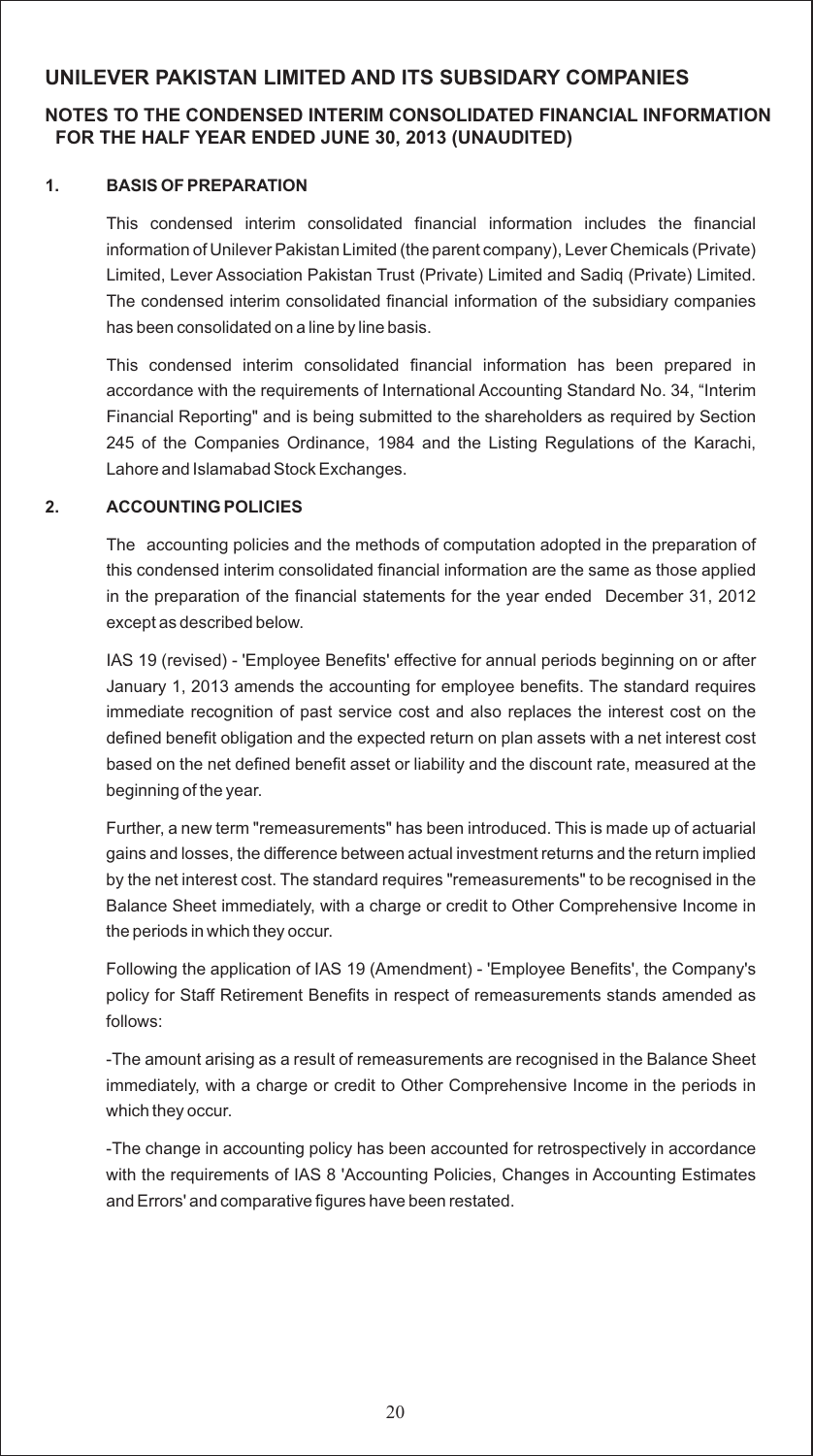## **NOTES TO THE CONDENSED INTERIM CONSOLIDATED FINANCIAL INFORMATION FOR THE HALF YEAR ENDED JUNE 30, 2013 (UNAUDITED)**

#### **1. BASIS OF PREPARATION**

This condensed interim consolidated financial information includes the financial information of Unilever Pakistan Limited (the parent company), Lever Chemicals (Private) Limited, Lever Association Pakistan Trust (Private) Limited and Sadiq (Private) Limited. The condensed interim consolidated financial information of the subsidiary companies has been consolidated on a line by line basis.

This condensed interim consolidated financial information has been prepared in accordance with the requirements of International Accounting Standard No. 34, "Interim Financial Reporting" and is being submitted to the shareholders as required by Section 245 of the Companies Ordinance, 1984 and the Listing Regulations of the Karachi, Lahore and Islamabad Stock Exchanges.

#### **2. ACCOUNTING POLICIES**

The accounting policies and the methods of computation adopted in the preparation of this condensed interim consolidated financial information are the same as those applied in the preparation of the financial statements for the year ended December 31, 2012 except as described below.

IAS 19 (revised) - 'Employee Benefits' effective for annual periods beginning on or after January 1, 2013 amends the accounting for employee benefits. The standard requires immediate recognition of past service cost and also replaces the interest cost on the defined benefit obligation and the expected return on plan assets with a net interest cost based on the net defined benefit asset or liability and the discount rate, measured at the beginning of the year.

Further, a new term "remeasurements" has been introduced. This is made up of actuarial gains and losses, the difference between actual investment returns and the return implied by the net interest cost. The standard requires "remeasurements" to be recognised in the Balance Sheet immediately, with a charge or credit to Other Comprehensive Income in the periods in which they occur.

Following the application of IAS 19 (Amendment) - 'Employee Benefits', the Company's policy for Staff Retirement Benefits in respect of remeasurements stands amended as follows:

-The amount arising as a result of remeasurements are recognised in the Balance Sheet immediately, with a charge or credit to Other Comprehensive Income in the periods in which they occur.

-The change in accounting policy has been accounted for retrospectively in accordance with the requirements of IAS 8 'Accounting Policies, Changes in Accounting Estimates and Errors' and comparative figures have been restated.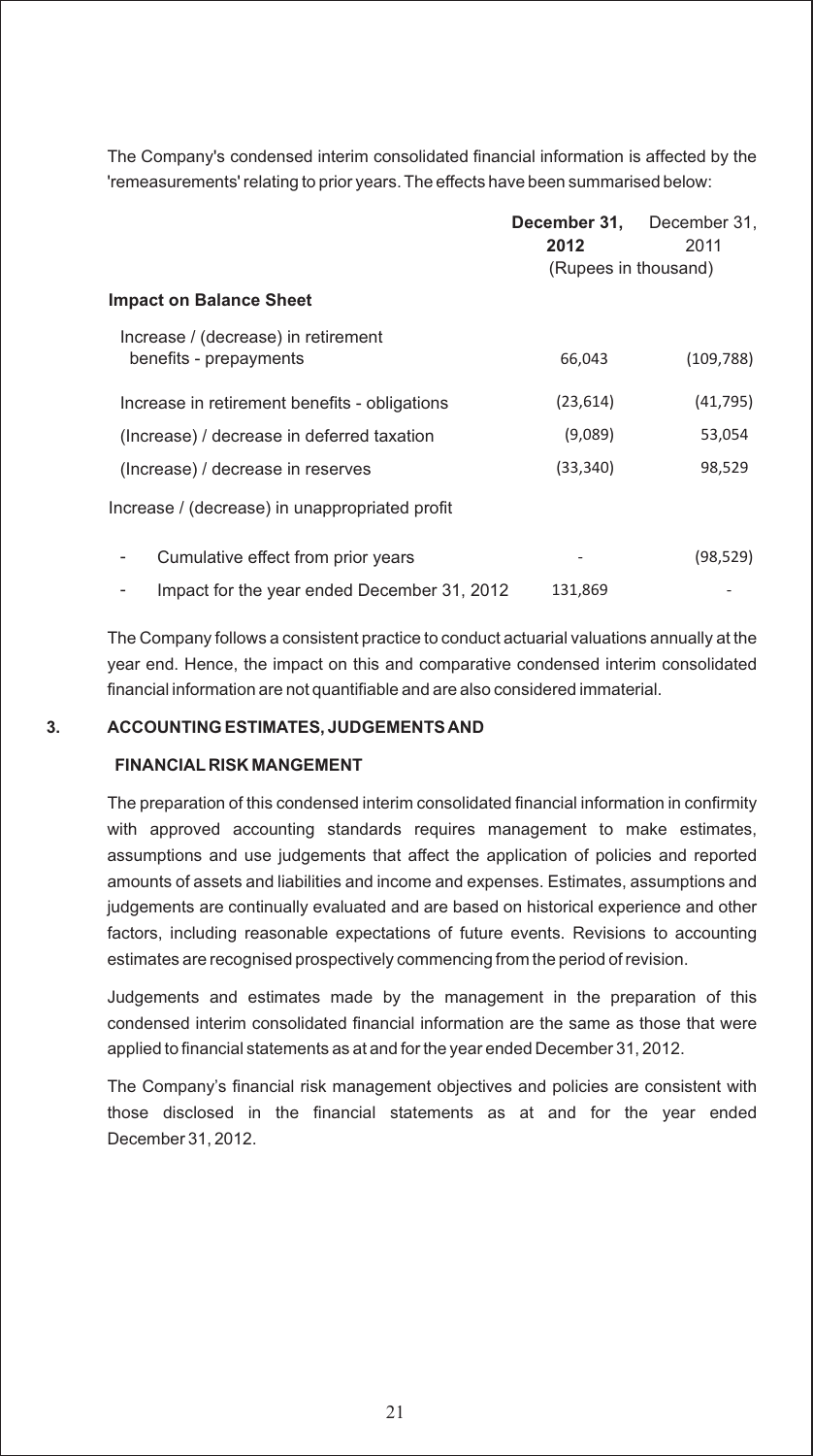The Company's condensed interim consolidated financial information is affected by the 'remeasurements' relating to prior years. The effects have been summarised below:

|                                                               | December 31,<br>2012 | December 31,<br>2011 |
|---------------------------------------------------------------|----------------------|----------------------|
|                                                               | (Rupees in thousand) |                      |
| <b>Impact on Balance Sheet</b>                                |                      |                      |
| Increase / (decrease) in retirement<br>benefits - prepayments | 66,043               | (109, 788)           |
| Increase in retirement benefits - obligations                 | (23, 614)            | (41, 795)            |
| (Increase) / decrease in deferred taxation                    | (9,089)              | 53,054               |
| (Increase) / decrease in reserves                             | (33, 340)            | 98,529               |
| Increase / (decrease) in unappropriated profit                |                      |                      |
| Cumulative effect from prior years                            |                      | (98, 529)            |
| Impact for the year ended December 31, 2012                   | 131,869              |                      |

The Company follows a consistent practice to conduct actuarial valuations annually at the year end. Hence, the impact on this and comparative condensed interim consolidated financial information are not quantifiable and are also considered immaterial.

#### **3. ACCOUNTING ESTIMATES, JUDGEMENTS AND**

#### **FINANCIAL RISK MANGEMENT**

The preparation of this condensed interim consolidated financial information in confirmity with approved accounting standards requires management to make estimates, assumptions and use judgements that affect the application of policies and reported amounts of assets and liabilities and income and expenses. Estimates, assumptions and judgements are continually evaluated and are based on historical experience and other factors, including reasonable expectations of future events. Revisions to accounting estimates are recognised prospectively commencing from the period of revision.

Judgements and estimates made by the management in the preparation of this condensed interim consolidated financial information are the same as those that were applied to financial statements as at and for the year ended December 31, 2012.

The Company's financial risk management objectives and policies are consistent with those disclosed in the financial statements as at and for the year ended December 31, 2012.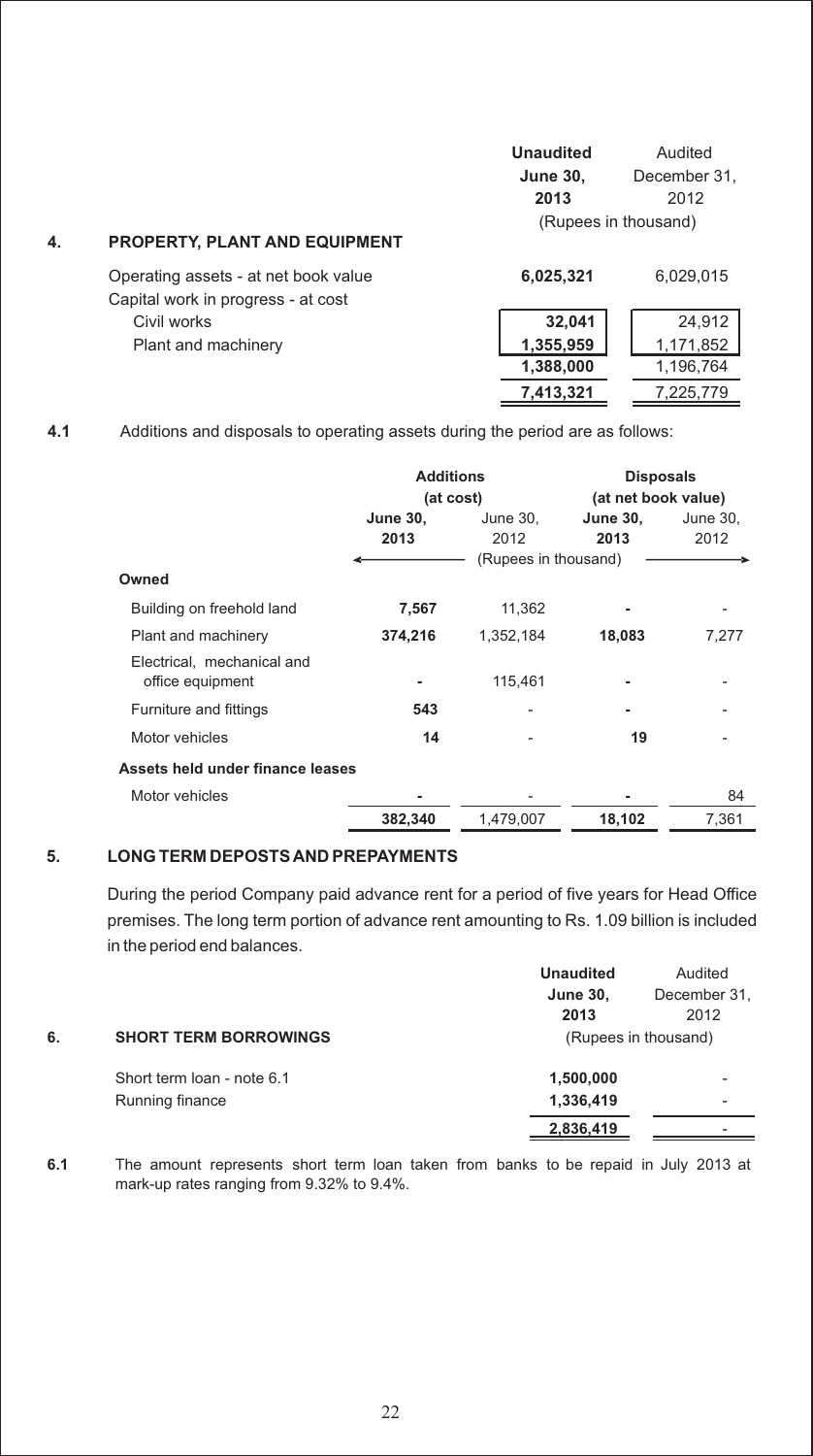| 4. | <b>PROPERTY, PLANT AND EQUIPMENT</b>                                       | <b>Unaudited</b><br><b>June 30,</b><br>2013<br>(Rupees in thousand) | Audited<br>December 31.<br>2012  |
|----|----------------------------------------------------------------------------|---------------------------------------------------------------------|----------------------------------|
|    | Operating assets - at net book value<br>Capital work in progress - at cost | 6,025,321                                                           | 6.029.015                        |
|    | Civil works<br>Plant and machinery                                         | 32,041<br>1,355,959<br>1,388,000                                    | 24,912<br>1,171,852<br>1,196,764 |

**7,413,321** 7,225,779

**4.1** Additions and disposals to operating assets during the period are as follows:

|                                                | <b>Additions</b><br>(at cost) |                      | <b>Disposals</b><br>(at net book value) |          |  |
|------------------------------------------------|-------------------------------|----------------------|-----------------------------------------|----------|--|
|                                                | <b>June 30,</b>               | June 30,             | <b>June 30,</b>                         | June 30, |  |
|                                                | 2013                          | 2012                 | 2013                                    | 2012     |  |
|                                                |                               | (Rupees in thousand) |                                         |          |  |
| Owned                                          |                               |                      |                                         |          |  |
| Building on freehold land                      | 7,567                         | 11,362               |                                         |          |  |
| Plant and machinery                            | 374,216                       | 1,352,184            | 18,083                                  | 7.277    |  |
| Electrical, mechanical and<br>office equipment |                               | 115,461              |                                         |          |  |
| Furniture and fittings                         | 543                           |                      |                                         |          |  |
| Motor vehicles                                 | 14                            |                      | 19                                      |          |  |
| Assets held under finance leases               |                               |                      |                                         |          |  |
| Motor vehicles                                 |                               |                      |                                         | 84       |  |
|                                                | 382,340                       | 1,479,007            | 18,102                                  | 7.361    |  |

#### **5. LONG TERM DEPOSTS AND PREPAYMENTS**

During the period Company paid advance rent for a period of five years for Head Office premises. The long term portion of advance rent amounting to Rs. 1.09 billion is included in the period end balances.

|    |                              | <b>Unaudited</b> | Audited              |
|----|------------------------------|------------------|----------------------|
|    |                              | <b>June 30,</b>  | December 31,         |
|    |                              | 2013             | 2012                 |
| 6. | <b>SHORT TERM BORROWINGS</b> |                  | (Rupees in thousand) |
|    | Short term loan - note 6.1   | 1,500,000        | ٠                    |
|    | Running finance              | 1,336,419        | -                    |
|    |                              | 2,836,419        |                      |
|    |                              |                  |                      |

**6.1** The amount represents short term loan taken from banks to be repaid in July 2013 at mark-up rates ranging from 9.32% to 9.4%.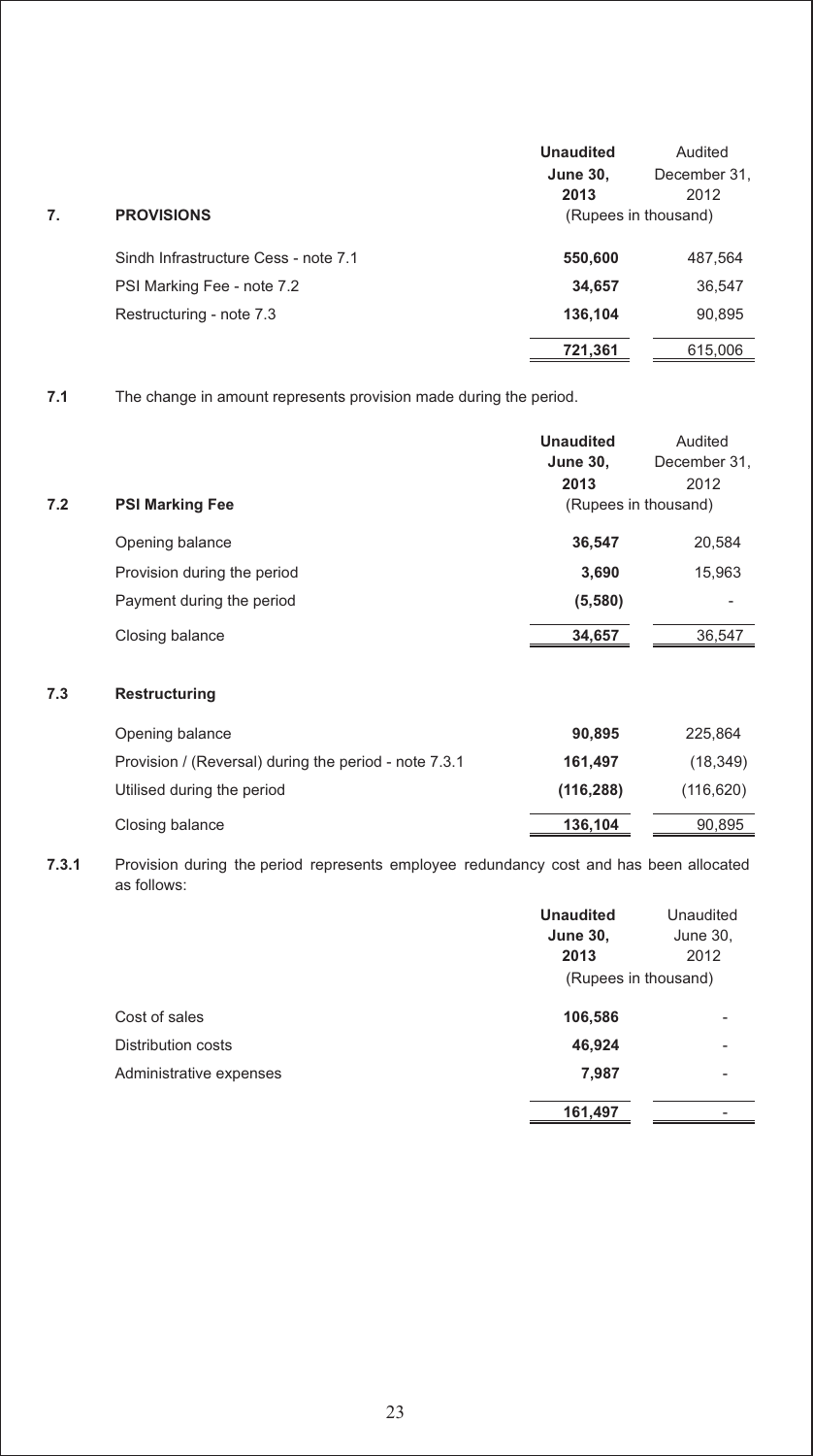|    |                                      | <b>Unaudited</b> | Audited              |
|----|--------------------------------------|------------------|----------------------|
|    |                                      | <b>June 30,</b>  | December 31,         |
|    |                                      | 2013             | 2012                 |
| 7. | <b>PROVISIONS</b>                    |                  | (Rupees in thousand) |
|    | Sindh Infrastructure Cess - note 7.1 | 550,600          | 487,564              |
|    | PSI Marking Fee - note 7.2           | 34,657           | 36,547               |
|    | Restructuring - note 7.3             | 136.104          | 90,895               |
|    |                                      | 721,361          | 615,006              |

**7.1** The change in amount represents provision made during the period.

|     |                             | <b>Unaudited</b>     | Audited      |
|-----|-----------------------------|----------------------|--------------|
|     |                             | <b>June 30,</b>      | December 31, |
|     |                             | 2013                 | 2012         |
| 7.2 | <b>PSI Marking Fee</b>      | (Rupees in thousand) |              |
|     | Opening balance             | 36,547               | 20,584       |
|     | Provision during the period | 3,690                | 15,963       |
|     | Payment during the period   | (5,580)              |              |
|     | Closing balance             | 34,657               | 36,547       |
|     |                             |                      |              |

#### **7.3 Restructuring**

| Opening balance                                       | 90.895     | 225.864    |
|-------------------------------------------------------|------------|------------|
| Provision / (Reversal) during the period - note 7.3.1 | 161.497    | (18, 349)  |
| Utilised during the period                            | (116, 288) | (116, 620) |
| Closing balance                                       | 136,104    | 90,895     |

**7.3.1** Provision during the period represents employee redundancy cost and has been allocated as follows:

|                         | <b>Unaudited</b><br><b>June 30,</b><br>2013 | Unaudited<br>June 30,<br>2012 |
|-------------------------|---------------------------------------------|-------------------------------|
|                         | (Rupees in thousand)                        |                               |
| Cost of sales           | 106,586                                     |                               |
| Distribution costs      | 46,924                                      |                               |
| Administrative expenses | 7,987                                       |                               |
|                         | 161,497                                     |                               |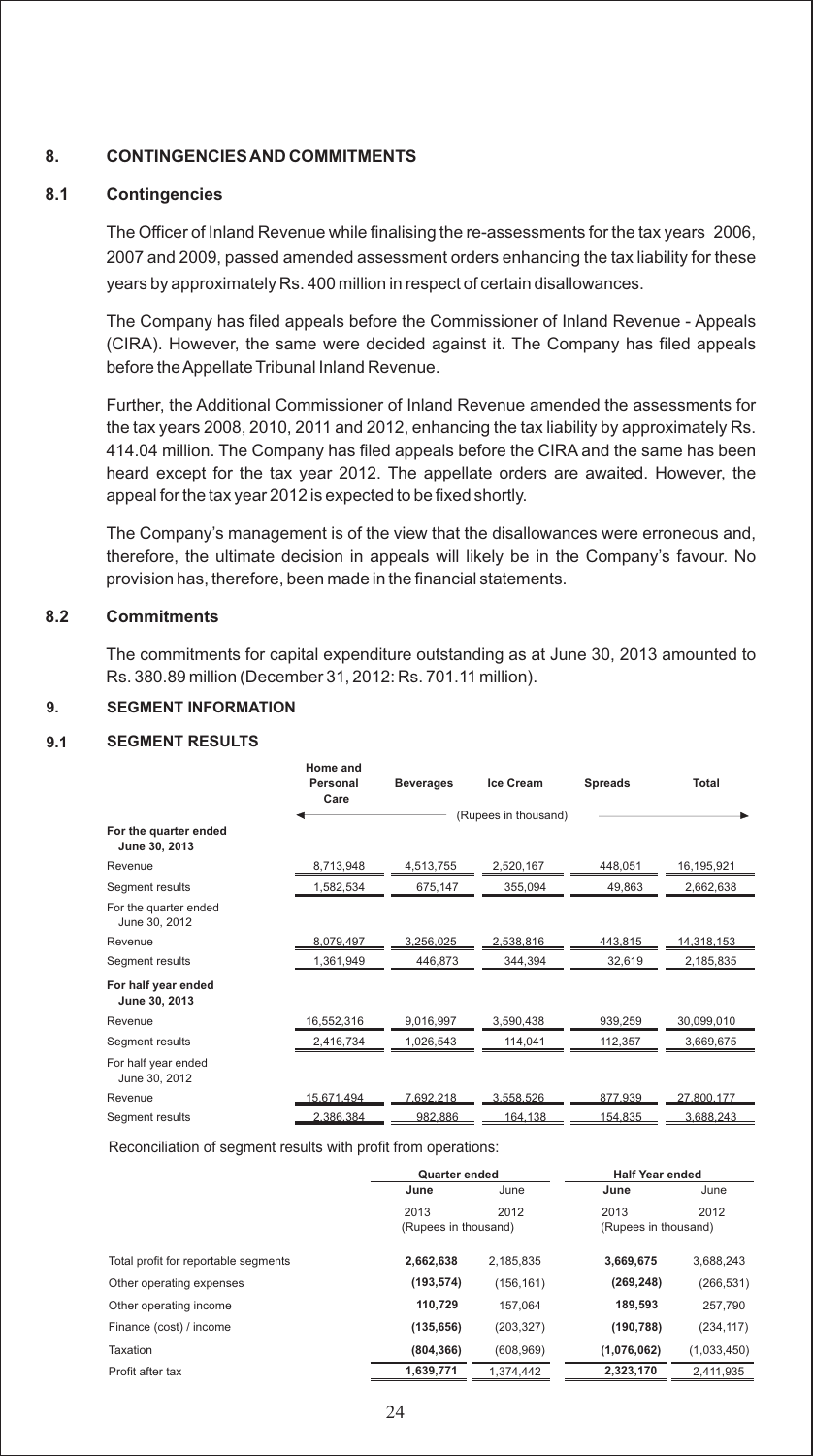#### **8. CONTINGENCIES AND COMMITMENTS**

#### **8.1 Contingencies**

The Officer of Inland Revenue while finalising the re-assessments for the tax years 2006, 2007 and 2009, passed amended assessment orders enhancing the tax liability for these years by approximately Rs. 400 million in respect of certain disallowances.

The Company has filed appeals before the Commissioner of Inland Revenue - Appeals (CIRA). However, the same were decided against it. The Company has filed appeals before the Appellate Tribunal Inland Revenue.

Further, the Additional Commissioner of Inland Revenue amended the assessments for the tax years 2008, 2010, 2011 and 2012, enhancing the tax liability by approximately Rs. 414.04 million. The Company has filed appeals before the CIRA and the same has been heard except for the tax year 2012. The appellate orders are awaited. However, the appeal for the tax year 2012 is expected to be fixed shortly.

The Company's management is of the view that the disallowances were erroneous and, therefore, the ultimate decision in appeals will likely be in the Company's favour. No provision has, therefore, been made in the financial statements.

#### **8.2 Commitments**

The commitments for capital expenditure outstanding as at June 30, 2013 amounted to Rs. 380.89 million (December 31, 2012: Rs. 701.11 million).

#### **9. SEGMENT INFORMATION**

#### **9.1 SEGMENT RESULTS**

|                                        | Home and<br>Personal<br>Care | <b>Beverages</b> | Ice Cream            | <b>Spreads</b> | Total      |
|----------------------------------------|------------------------------|------------------|----------------------|----------------|------------|
| For the quarter ended<br>June 30, 2013 |                              |                  | (Rupees in thousand) |                |            |
| Revenue                                | 8.713.948                    | 4,513,755        | 2,520,167            | 448.051        | 16,195,921 |
| Segment results                        | 1,582,534                    | 675,147          | 355.094              | 49,863         | 2,662,638  |
| For the quarter ended<br>June 30, 2012 |                              |                  |                      |                |            |
| Revenue                                | 8,079,497                    | 3,256,025        | 2,538,816            | 443,815        | 14,318,153 |
| Segment results                        | 1,361,949                    | 446,873          | 344,394              | 32,619         | 2,185,835  |
| For half year ended<br>June 30, 2013   |                              |                  |                      |                |            |
| Revenue                                | 16,552,316                   | 9,016,997        | 3,590,438            | 939,259        | 30,099,010 |
| Segment results                        | 2,416,734                    | 1,026,543        | 114,041              | 112,357        | 3,669,675  |
| For half year ended<br>June 30, 2012   |                              |                  |                      |                |            |
| Revenue                                | 15.671.494                   | 7.692.218        | 3.558.526            | 877.939        | 27.800.177 |
| Segment results                        | 2.386.384                    | 982.886          | 164.138              | 154.835        | 3.688.243  |

Reconciliation of segment results with profit from operations:

|                                      | <b>Quarter ended</b> |            | <b>Half Year ended</b> |             |
|--------------------------------------|----------------------|------------|------------------------|-------------|
|                                      | June                 | June       | June                   | June        |
|                                      | 2013                 | 2012       | 2013                   | 2012        |
|                                      | (Rupees in thousand) |            | (Rupees in thousand)   |             |
| Total profit for reportable segments | 2,662,638            | 2.185.835  | 3,669,675              | 3,688,243   |
| Other operating expenses             | (193, 574)           | (156, 161) | (269, 248)             | (266, 531)  |
| Other operating income               | 110,729              | 157.064    | 189,593                | 257,790     |
| Finance (cost) / income              | (135, 656)           | (203, 327) | (190, 788)             | (234, 117)  |
| Taxation                             | (804, 366)           | (608, 969) | (1,076,062)            | (1,033,450) |
| Profit after tax                     | 1,639,771            | 1.374.442  | 2,323,170              | 2.411.935   |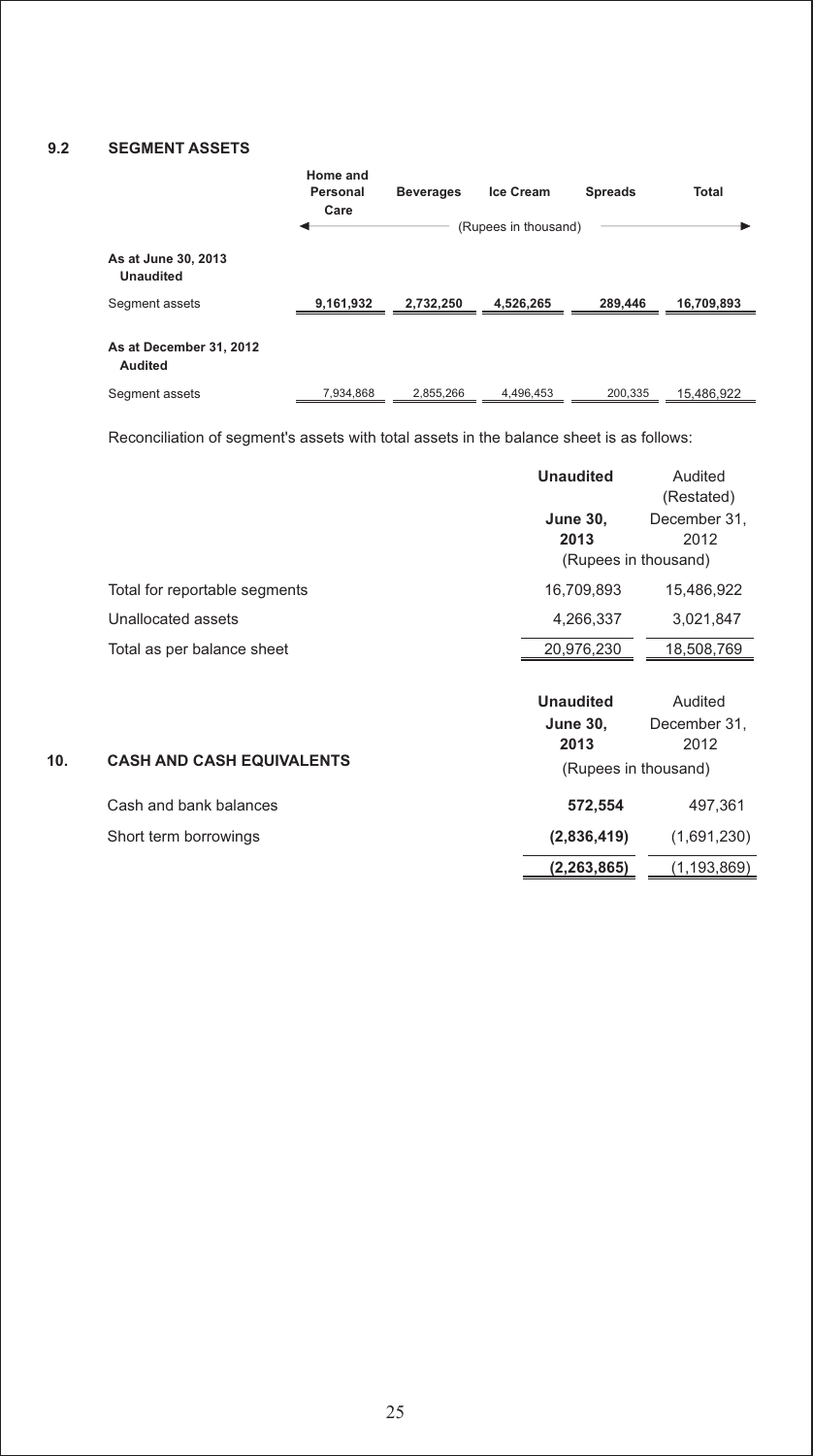#### **9.2 SEGMENT ASSETS**

|                                         | Home and<br>Personal<br>Care | <b>Beverages</b> | <b>Ice Cream</b><br>(Rupees in thousand) | <b>Spreads</b> | Total      |
|-----------------------------------------|------------------------------|------------------|------------------------------------------|----------------|------------|
| As at June 30, 2013<br><b>Unaudited</b> |                              |                  |                                          |                |            |
| Segment assets                          | 9,161,932                    | 2,732,250        | 4,526,265                                | 289,446        | 16,709,893 |
| As at December 31, 2012<br>Audited      |                              |                  |                                          |                |            |
| Segment assets                          | 7,934,868                    | 2,855,266        | 4,496,453                                | 200,335        | 15.486.922 |

Reconciliation of segment's assets with total assets in the balance sheet is as follows:

|     |                                  | <b>Unaudited</b>                                                    | Audited<br>(Restated)           |
|-----|----------------------------------|---------------------------------------------------------------------|---------------------------------|
|     |                                  | <b>June 30,</b><br>2013<br>(Rupees in thousand)                     | December 31,<br>2012            |
|     | Total for reportable segments    | 16,709,893                                                          | 15,486,922                      |
|     | Unallocated assets               | 4,266,337                                                           | 3,021,847                       |
|     | Total as per balance sheet       | 20,976,230                                                          | 18,508,769                      |
| 10. | <b>CASH AND CASH EQUIVALENTS</b> | <b>Unaudited</b><br><b>June 30,</b><br>2013<br>(Rupees in thousand) | Audited<br>December 31,<br>2012 |
|     | Cash and bank balances           | 572,554                                                             | 497,361                         |
|     | Short term borrowings            | (2,836,419)                                                         | (1,691,230)                     |
|     |                                  | (2,263,865)                                                         | (1,193,869)                     |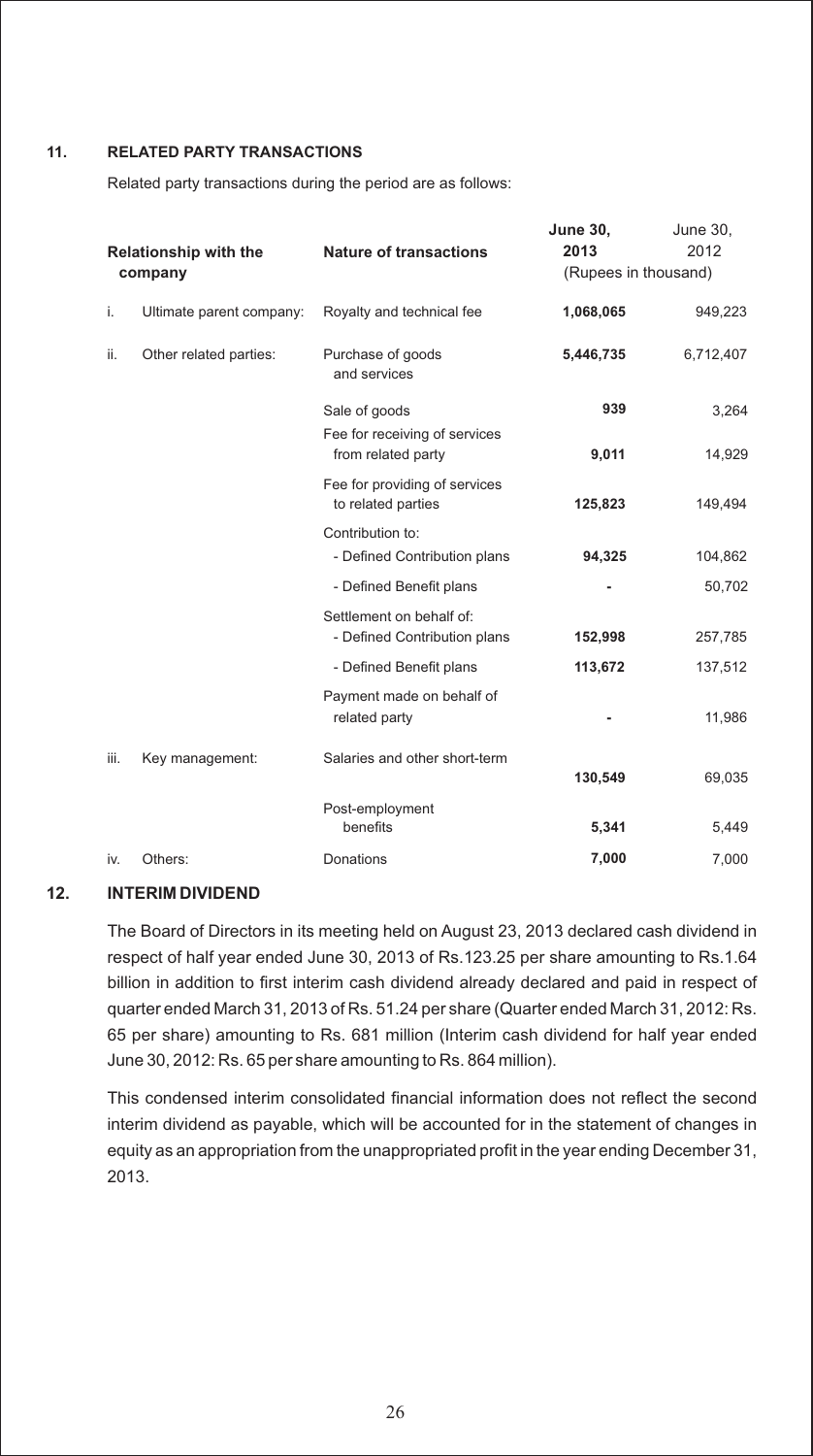#### **11. RELATED PARTY TRANSACTIONS**

Related party transactions during the period are as follows:

| <b>Relationship with the</b><br>company |                          | <b>Nature of transactions</b>                                             | <b>June 30,</b><br>2013<br>(Rupees in thousand) | <b>June 30,</b><br>2012 |
|-----------------------------------------|--------------------------|---------------------------------------------------------------------------|-------------------------------------------------|-------------------------|
| i.                                      | Ultimate parent company: | Royalty and technical fee                                                 | 1,068,065                                       | 949,223                 |
| ii.                                     | Other related parties:   | Purchase of goods<br>and services                                         | 5,446,735                                       | 6,712,407               |
|                                         |                          | Sale of goods<br>Fee for receiving of services                            | 939                                             | 3,264                   |
|                                         |                          | from related party<br>Fee for providing of services<br>to related parties | 9,011<br>125,823                                | 14,929<br>149,494       |
|                                         |                          | Contribution to:<br>- Defined Contribution plans                          | 94,325                                          | 104,862                 |
|                                         |                          | - Defined Benefit plans                                                   |                                                 | 50,702                  |
|                                         |                          | Settlement on behalf of:<br>- Defined Contribution plans                  | 152,998                                         | 257,785                 |
|                                         |                          | - Defined Benefit plans                                                   | 113,672                                         | 137,512                 |
|                                         |                          | Payment made on behalf of<br>related party                                |                                                 | 11,986                  |
| iii.                                    | Key management:          | Salaries and other short-term                                             | 130,549                                         | 69,035                  |
|                                         |                          | Post-employment<br>benefits                                               | 5,341                                           | 5,449                   |
| iv.                                     | Others:                  | <b>Donations</b>                                                          | 7,000                                           | 7,000                   |

#### **12. INTERIM DIVIDEND**

The Board of Directors in its meeting held on August 23, 2013 declared cash dividend in respect of half year ended June 30, 2013 of Rs.123.25 per share amounting to Rs.1.64 billion in addition to first interim cash dividend already declared and paid in respect of quarter ended March 31, 2013 of Rs. 51.24 per share (Quarter ended March 31, 2012: Rs. 65 per share) amounting to Rs. 681 million (Interim cash dividend for half year ended June 30, 2012: Rs. 65 per share amounting to Rs. 864 million).

This condensed interim consolidated financial information does not reflect the second interim dividend as payable, which will be accounted for in the statement of changes in equity as an appropriation from the unappropriated profit in the year ending December 31, 2013.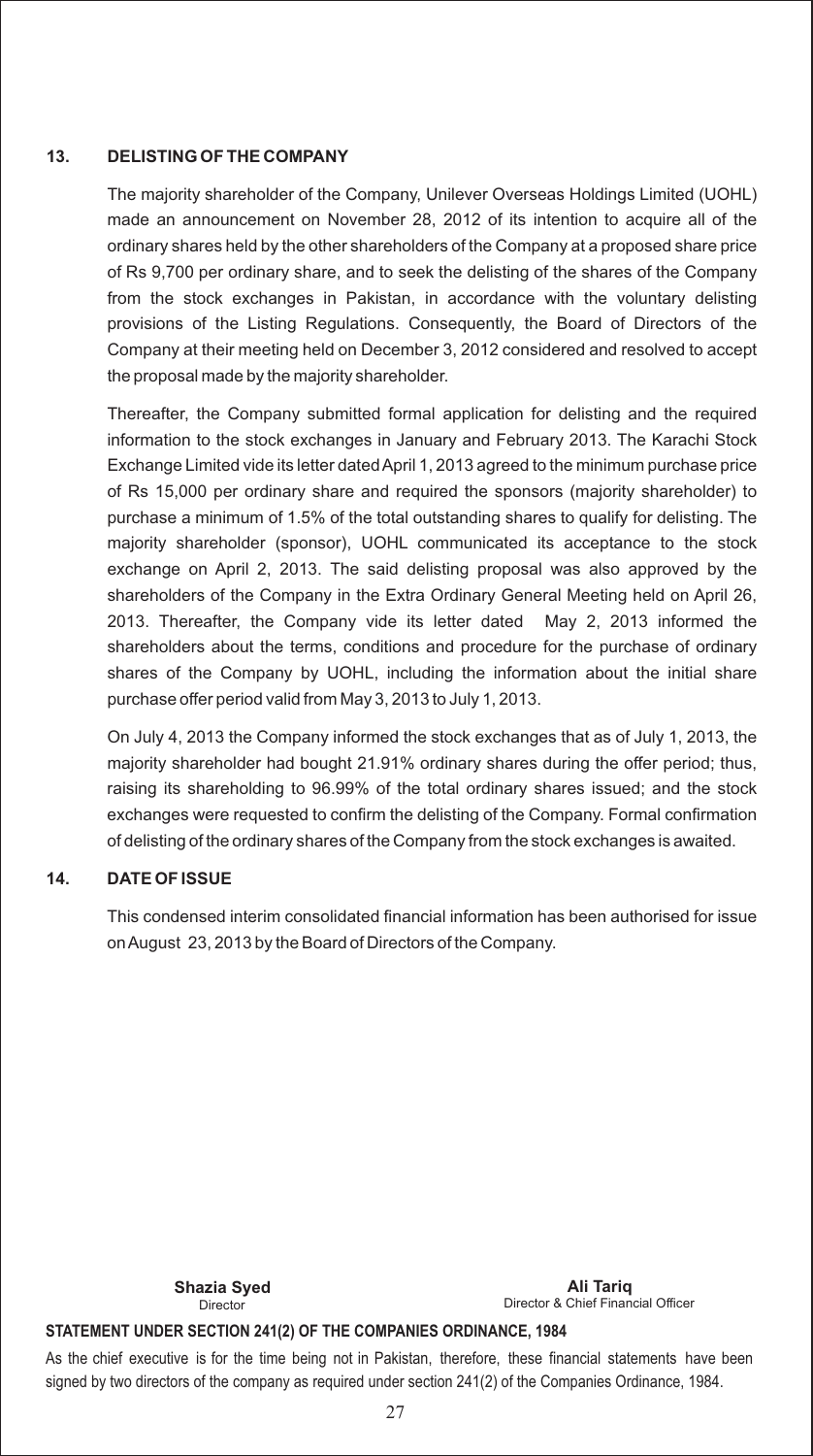#### **13. DELISTING OF THE COMPANY**

The majority shareholder of the Company, Unilever Overseas Holdings Limited (UOHL) made an announcement on November 28, 2012 of its intention to acquire all of the ordinary shares held by the other shareholders of the Company at a proposed share price of Rs 9,700 per ordinary share, and to seek the delisting of the shares of the Company from the stock exchanges in Pakistan, in accordance with the voluntary delisting provisions of the Listing Regulations. Consequently, the Board of Directors of the Company at their meeting held on December 3, 2012 considered and resolved to accept the proposal made by the majority shareholder.

Thereafter, the Company submitted formal application for delisting and the required information to the stock exchanges in January and February 2013. The Karachi Stock Exchange Limited vide its letter dated April 1, 2013 agreed to the minimum purchase price of Rs 15,000 per ordinary share and required the sponsors (majority shareholder) to purchase a minimum of 1.5% of the total outstanding shares to qualify for delisting. The majority shareholder (sponsor), UOHL communicated its acceptance to the stock exchange on April 2, 2013. The said delisting proposal was also approved by the shareholders of the Company in the Extra Ordinary General Meeting held on April 26, 2013. Thereafter, the Company vide its letter dated May 2, 2013 informed the shareholders about the terms, conditions and procedure for the purchase of ordinary shares of the Company by UOHL, including the information about the initial share purchase offer period valid from May 3, 2013 to July 1, 2013.

On July 4, 2013 the Company informed the stock exchanges that as of July 1, 2013, the majority shareholder had bought 21.91% ordinary shares during the offer period; thus, raising its shareholding to 96.99% of the total ordinary shares issued; and the stock exchanges were requested to confirm the delisting of the Company. Formal confirmation of delisting of the ordinary shares of the Company from the stock exchanges is awaited.

#### **14. DATE OF ISSUE**

This condensed interim consolidated financial information has been authorised for issue on August 23, 2013 by the Board of Directors of the Company.

Director

Director & Chief Financial Officer **Shazia Syed Ali Tariq**

#### **STATEMENT UNDER SECTION 241(2) OF THE COMPANIES ORDINANCE, 1984**